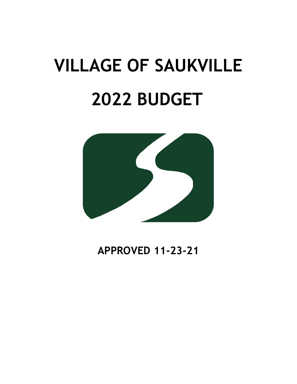# **VILLAGE OF SAUKVILLE 2022 BUDGET**



**APPROVED 11-23-21**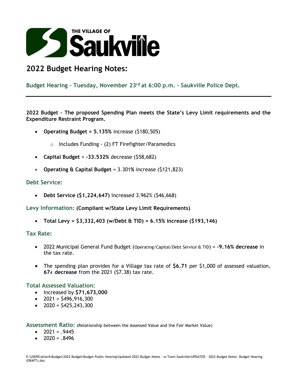

# **2022 Budget Hearing Notes:**

### **Budget Hearing – Tuesday, November 23 rd at 6:00 p.m. – Saukville Police Dept.**

**2022 Budget – The proposed Spending Plan meets the State's Levy Limit requirements and the Expenditure Restraint Program.** 

- **Operating Budget = 5.135%** increase (\$180,505)
	- o Includes Funding (2) FT Firefighter/Paramedics
- **Capital Budget** = **-33.532%** decrease (\$58,682)
- **Operating & Capital Budget** = 3.301**%** increase (\$121,823)

#### **Debt Service:**

• **Debt Service (\$1,224,647)** increased 3.962% (\$46,668)

**Levy Information: (Compliant w/State Levy Limit Requirements)**

• **Total Levy = \$3,332,403 (w/Debt & TID) = 6.15% increase (\$193,146)**

#### **Tax Rate:**

- 2022 Municipal General Fund Budget (Operating/Capital/Debt Service & TID) = **-9.16% decrease** in the tax rate.
- The spending plan provides for a Village tax rate of **\$6.71** per \$1,000 of assessed valuation, **67¢ decrease** from the 2021 (\$7.38) tax rate.

#### **Total Assessed Valuation:**

- Increased by **\$71,673,000**
- $2021 = $496,916,300$
- $2020 = $425,243,300$

**Assessment Ratio:** (Relationship between the Assessed Value and the Fair Market Value)

- $\bullet$  2021 = 9445
- $2020 = .8496$

E:\USERS\dclerk\Budget\2022 Budget\Budget Public Hearing\Updated 2022 Budget Notes - w-Town Saukville\UPDATED - 2022 Budget Notes- Budget Hearing (DRAFT).doc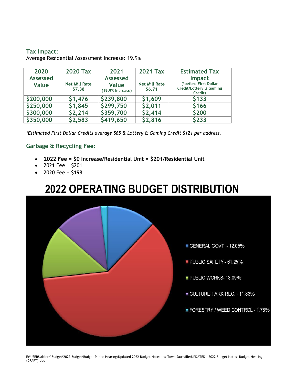#### **Tax Impact:**

Average Residential Assessment Increase: 19.9%

| 2020            | <b>2020 Tax</b>      | 2021               | <b>2021 Tax</b>      | <b>Estimated Tax</b>                                        |
|-----------------|----------------------|--------------------|----------------------|-------------------------------------------------------------|
| <b>Assessed</b> |                      | <b>Assessed</b>    |                      | <b>Impact</b>                                               |
| Value           | <b>Net Mill Rate</b> | Value              | <b>Net Mill Rate</b> | (*before First Dollar<br><b>Credit/Lottery &amp; Gaming</b> |
|                 | \$7.38               | $(19.9%$ Increase) | \$6.71               | Credit)                                                     |
| \$200,000       | \$1,476              | \$239,800          | \$1,609              | \$133                                                       |
| \$250,000       | \$1,845              | \$299,750          | \$2,011              | \$166                                                       |
| \$300,000       | \$2,214              | \$359,700          | \$2,414              | \$200                                                       |
| \$350,000       | \$2,583              | \$419,650          | \$2,816              | \$233                                                       |

*\*Estimated First Dollar Credits average \$65 & Lottery & Gaming Credit \$121 per address.*

#### **Garbage & Recycling Fee:**

- **2022 Fee = \$0 Increase/Residential Unit = \$201/Residential Unit**
- 2021 Fee =  $$201$
- 2020 Fee =  $$198$

# **2022 OPERATING BUDGET DISTRIBUTION**



E:\USERS\dclerk\Budget\2022 Budget\Budget Public Hearing\Updated 2022 Budget Notes - w-Town Saukville\UPDATED - 2022 Budget Notes- Budget Hearing (DRAFT).doc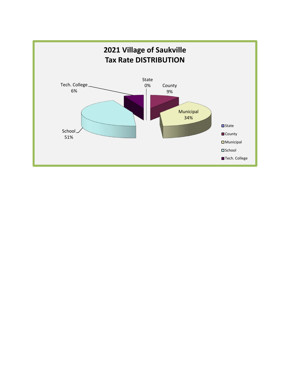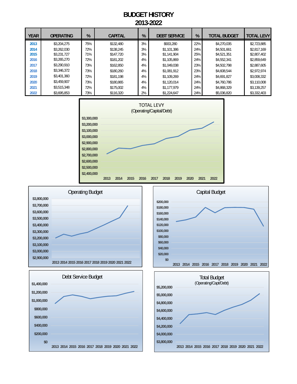### **BUDGET HISTORY 2013-2022**

| <b>YEAR</b> | <b>OPERATING</b> | %   | <b>CAPITAL</b> | %  | <b>DEBT SERVICE</b> | %   | <b>TOTAL BUDGET</b> | <b>TOTAL LEVY</b> |
|-------------|------------------|-----|----------------|----|---------------------|-----|---------------------|-------------------|
| 2013        | \$3,204,275      | 75% | \$132,480      | 3% | \$933,280           | 22% | \$4,270,035         | \$2,723,885       |
| 2014        | \$3,262,030      | 72% | \$138,245      | 3% | \$1,101,386         | 24% | \$4.501.661         | \$2.817.169       |
| 2015        | \$3.231.727      | 71% | \$147.720      | 3% | \$1.141.904         | 25% | \$4,521,351         | \$2,807,402       |
| 2016        | \$3,265,270      | 72% | \$181,202      | 4% | \$1.105.869         | 24% | \$4,552,341         | \$2.859.649       |
| 2017        | \$3,290,910      | 73% | \$162.850      | 4% | \$1,049,038         | 23% | \$4,502,798         | \$2,887,605       |
| 2018        | \$3,346,372      | 73% | \$180.260      | 4% | \$1,081,912         | 23% | \$4,608,544         | \$2.972.974       |
| 2019        | \$3,401,360      | 72% | \$181.198      | 4% | \$1.109.269         | 24% | \$4,691,827         | \$3,008,332       |
| 2020        | \$3.459.907      | 73% | \$180.865      | 4% | \$1,120,014         | 24% | \$4,760,786         | \$3,110,008       |
| 2021        | \$3,515,348      | 72% | \$175,002      | 4% | \$1,177,979         | 24% | \$4,868,329         | \$3.139.257       |
| 2022        | \$3.695.853      | 73% | \$116,320      | 2% | \$1,224,647         | 24% | \$5.036.820         | \$3,332,403       |









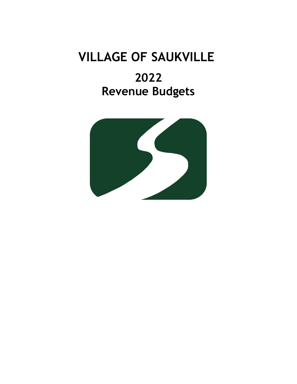# **VILLAGE OF SAUKVILLE**

# **2022 Revenue Budgets**

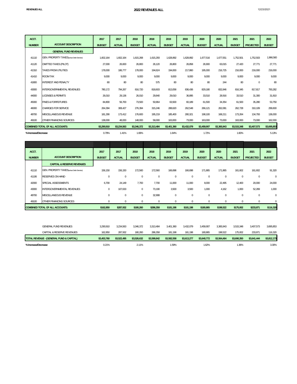| ACCT.               |                                          | 2017          | 2017          | 2018          | 2018          | 2019          | 2019          | 2020          | 2020          | 2021          | 2021             | 2022          |
|---------------------|------------------------------------------|---------------|---------------|---------------|---------------|---------------|---------------|---------------|---------------|---------------|------------------|---------------|
| <b>NUMBER</b>       | <b>ACCOUNT DESCRIPTION</b>               | <b>BUDGET</b> | <b>ACTUAL</b> | <b>BUDGET</b> | <b>ACTUAL</b> | <b>BUDGET</b> | <b>ACTUAL</b> | <b>BUDGET</b> | <b>ACTUAL</b> | <b>BUDGET</b> | <b>PROJECTED</b> | <b>BUDGET</b> |
|                     | <b>GENERAL FUND REVENUES</b>             |               |               |               |               |               |               |               |               |               |                  |               |
| 41110               | GEN. PROPERTY TAXES (w/out Debt Service) | 1,602,164     | 1,602,164     | 1,615,268     | 1,615,293     | 1,628,892     | 1,628,892     | 1,677,516     | 1,677,551     | 1,752,501     | 1,752,503        | 1,966,560     |
| 41120               | OMITTED TAXES (PILOT)                    | 27.000        | 26,600        | 26,800        | 26,120        | 26,800        | 26,858        | 26,900        | 63,015        | 27,420        | 27,771           | 27,771        |
| 41310               | <b>TAXES FROM UTILITIES</b>              | 178,000       | 186.777       | 178,000       | 194,624       | 194,000       | 217,860       | 195,000       | 216,725       | 216,000       | 216,000          | 216,000       |
| 41410               | ROOM TAX                                 | 9,000         | 9.000         | 9,000         | 9,000         | 9,000         | 9,000         | 9,000         | 9.000         | 9,000         | 9.000            | 9,000         |
| 41800               | <b>INTEREST AND PENALTY</b>              | 80            | 80            | 80            | 575           | 80            | 80            | 80            | 244           | 80            | $\mathbf{0}$     | 80            |
| 43000               | INTERGOVERNMENTAL REVENUES               | 780.172       | 794.267       | 816.720       | 818.603       | 813.058       | 836.436       | 829.180       | 832.846       | 816.345       | 817.817          | 793,282       |
| 44000               | <b>LICENSES &amp; PERMITS</b>            | 26.010        | 29.136        | 26.010        | 29.840        | 29.010        | 36.895        | 33.510        | 28.916        | 33.510        | 31.300           | 31,810        |
| 45000               | <b>FINES &amp; FORFEITURES</b>           | 84.800        | 56.700        | 73.500        | 50.964        | 63.500        | 60.189        | 61.500        | 34.354        | 61.500        | 35.280           | 53,750        |
| 46000               | <b>CHARGES FOR SERVICE</b>               | 264.394       | 308,427       | 276,394       | 315,246       | 288,620       | 262,548       | 266,121       | 262,081       | 262,728       | 310,109          | 299,600       |
| 48700               | MISCELLANEOUS REVENUE                    | 181.290       | 173.412       | 176.600       | 195.219       | 185.400       | 280.321       | 198.100       | 168.211       | 173,264       | 134.793          | 136,000       |
| 49100               | OTHER FINANCING SOURCES                  | 138,000       | 48.000        | 148,000       | 58,000        | 163,000       | 73,000        | 163,000       | 73,000        | 163,000       | 73.000           | 162,000       |
|                     | <b>COMBINED TOTAL OF ALL ACCOUNTS:</b>   | \$3,290,910   | \$3,234,563   | \$3,346,372   | \$3,313,484   | \$3,401,360   | \$3,432,079   | \$3,459,907   | \$3,365,943   | \$3,515,348   | \$3,407,573      | \$3,695,853   |
| % Increase/Decrease |                                          | 0.79%         | 1.41%         | 1.69%         |               | 1.64%         |               | 1.72%         |               | 1.60%         |                  | 5.13%         |

| ACCT.         |                                          | 2017          | 2017          | 2018          | 2018          | 2019          | 2019          | 2020          | 2020          | 2021          | 2021             | 2022          |
|---------------|------------------------------------------|---------------|---------------|---------------|---------------|---------------|---------------|---------------|---------------|---------------|------------------|---------------|
| <b>NUMBER</b> | <b>ACCOUNT DESCRIPTION</b>               | <b>BUDGET</b> | <b>ACTUAL</b> | <b>BUDGET</b> | <b>ACTUAL</b> | <b>BUDGET</b> | <b>ACTUAL</b> | <b>BUDGET</b> | <b>ACTUAL</b> | <b>BUDGET</b> | <b>PROJECTED</b> | <b>BUDGET</b> |
|               | <b>CAPITAL &amp; RESERVE REVENUES</b>    |               |               |               |               |               |               |               |               |               |                  |               |
| 41110         | GEN. PROPERTY TAXES (w/out Debt Service) | 156,150       | 156,150       | 172,560       | 172,560       | 166,698       | 166,698       | 171,865       | 171,865       | 161,602       | 161,602          | 91,320        |
| 41106         | <b>RESERVES ON HAND</b>                  | $\mathbf 0$   | 0             | $\mathbf 0$   | $\bf{0}$      | 0             | 0             | 0             | $\bf 0$       | 0             | $\mathbf{0}$     | $\bf{0}$      |
| 42000         | SPECIAL ASSESSMENTS                      | 6,700         | 24,149        | 7,700         | 7,700         | 11,000        | 11,000        | 8,000         | 22,495        | 12,400        | 20,000           | 24,000        |
| 43000         | INTERGOVERNMENTAL REVENUES               | $\mathbf 0$   | 107,633       | $\mathbf{0}$  | 73,190        | 3,500         | 3,500         | 1,000         | 4,162         | 1,000         | 52,269           | 1,000         |
| 48700         | MISCELLANEOUS REVENUE                    | $\mathbf 0$   | $\mathbf 0$   | $\mathbf{0}$  | 32,908        | $\mathbf 0$   | $\mathbf 0$   | $\mathbf 0$   | $\mathbf 0$   | $\mathbf 0$   | $\mathbf{0}$     | $\mathbf{0}$  |
| 49100         | OTHER FINANCING SOURCES                  | $\mathbf 0$   | 0             | $\mathbf{0}$  | $\mathbf{0}$  | $\mathbf 0$   | $\mathbf 0$   | 0             | $\mathbf 0$   | $\mathbf 0$   | $\mathbf{0}$     | $\bf{0}$      |
|               | <b>COMBINED TOTAL OF ALL ACCOUNTS:</b>   | \$162,850     | \$287,932     | \$180,260     | \$286,358     | \$181,198     | \$181,198     | \$180,865     | \$198,522     | \$175,002     | \$233,871        | \$116,320     |
|               |                                          |               |               |               |               |               |               |               |               |               |                  |               |
|               |                                          |               |               |               |               |               |               |               |               |               |                  |               |
|               | <b>GENERAL FUND REVENUES</b>             | 3,290,910     | 3,234,563     | 3,346,372     | 3,313,484     | 3,401,360     | 3,432,079     | 3,459,907     | 3,365,943     | 3,515,348     | 3,407,573        | 3,695,853     |

| CAPITAL & RESERVE REVENUES               | 162.850     | 287.932     | 180.260     | 286.358     | 181.198     | 181.198     | 180.865     | 198.522     | 175.002     | 233.87      | 116.320     |
|------------------------------------------|-------------|-------------|-------------|-------------|-------------|-------------|-------------|-------------|-------------|-------------|-------------|
| TOTAL REVENUE - (GENERAL FUND & CAPITAL) | \$3,453,760 | \$3.522.495 | \$3.526.632 | \$3.599.842 | \$3,582,558 | \$3.613.277 | \$3,640,772 | \$3.564.464 | \$3,690,350 | \$3.641.444 | \$3,812,173 |
| % Increase/Decrease                      | 0.21%       |             | 2.11%       |             | .59%        |             | .62%        |             | .36%        |             | 3.30%       |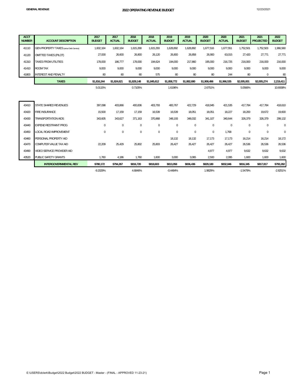| <b>ACCT</b><br><b>NUMBER</b> | <b>ACCOUNT DESCRIPTION</b>                     | 2017<br><b>BUDGET</b> | 2017<br><b>ACTUAL</b> | 2018<br><b>BUDGET</b> | 2018<br><b>ACTUAL</b> | 2019<br><b>BUDGET</b> | 2019<br><b>ACTUAL</b> | 2020<br><b>BUDGET</b> | 2020<br><b>ACTUAL</b> | 2021<br><b>BUDGET</b> | 2021<br><b>PROJECTED</b> | 2022<br><b>BUDGET</b> |
|------------------------------|------------------------------------------------|-----------------------|-----------------------|-----------------------|-----------------------|-----------------------|-----------------------|-----------------------|-----------------------|-----------------------|--------------------------|-----------------------|
| 41110                        | <b>GEN PROPERTY TAXES (w/out Debt Service)</b> | 1,602,164             | 1,602,164             | 1,615,268             | 1,615,293             | 1,628,892             | 1,628,892             | 1,677,516             | 1,677,551             | 1,752,501             | 1,752,503                | 1,966,560             |
| 41120                        | <b>OMITTED TAXES (PILOT)</b>                   | 27,000                | 26,600                | 26,800                | 26,120                | 26,800                | 26,858                | 26,900                | 63,015                | 27,420                | 27,771                   | 27,771                |
| 41310                        | <b>TAXES FROM UTILITIES</b>                    | 178,000               | 186,777               | 178,000               | 194,624               | 194,000               | 217,860               | 195,000               | 216,725               | 216,000               | 216,000                  | 216,000               |
| 41410                        | <b>ROOM TAX</b>                                | 9.000                 | 9,000                 | 9,000                 | 9,000                 | 9,000                 | 9,000                 | 9,000                 | 9.000                 | 9.000                 | 9.000                    | 9,000                 |
| 41800                        | <b>INTEREST AND PENALTY</b>                    | 80                    | 80                    | 80                    | 575                   | 80                    | 80                    | 80                    | 244                   | 80                    | $\mathbf 0$              | 80                    |
|                              | <b>TAXES</b>                                   | \$1,816,244           | \$1,824,621           | \$1,829,148           | \$1,845,612           | \$1,858,772           | \$1,882,690           | \$1,908,496           | \$1,966,535           | \$2,005,001           | \$2,005,274              | 2,219,411             |
|                              |                                                | 5.0115%               |                       | 0.7105%               |                       | 1.6196%               |                       | 2.6751%               |                       | 5.0566%               |                          | 10.6938%              |
|                              |                                                |                       |                       |                       |                       |                       |                       |                       |                       |                       |                          |                       |
| 43410                        | STATE SHARED REVENUES                          | 397,098               | 403,866               | 400,836               | 403,793               | 400,767               | 422,729               | 418,945               | 421,535               | 417,784               | 417,784                  | 418,610               |
| 43420                        | <b>FIRE INSURANCE</b>                          | 15,500                | 17,159                | 17,159                | 16,539                | 16,539                | 18,051                | 18,051                | 18,227                | 18,200                | 19,672                   | 19,600                |
| 43430                        | <b>TRANSPORTATION AIDS</b>                     | 343,605               | 343,627               | 371,163               | 370,868               | 348,193               | 348,032               | 341,107               | 340,644               | 326,379               | 326,379                  | 299,132               |
| 43440                        | <b>EXPEND RESTRAINT PROG</b>                   | $\mathbf 0$           | $\mathbf 0$           | $\bf{0}$              | $\mathbf 0$           | $\mathbf{0}$          | $\mathbf{0}$          | $\mathbf 0$           | $\mathbf 0$           | $\bf{0}$              | $\mathbf 0$              | $\mathbf{0}$          |
| 43450                        | LOCAL ROAD IMPROVEMENT                         | 0                     | $\mathbf 0$           | 0                     | $\mathbf 0$           | $\boldsymbol{0}$      | $\mathbf 0$           | $\mathbf 0$           | 1,768                 | $\bf{0}$              | $\boldsymbol{0}$         | $\bf 0$               |
| 43460                        | PERSONAL PROPERTY AID                          |                       |                       |                       |                       | 18,132                | 18,132                | 17,173                | 17,173                | 16,214                | 16,214                   | 18,172                |
| 43470                        | COMPUTER VALUE TAX AID                         | 22,209                | 25,429                | 25,802                | 25,803                | 26,427                | 26,427                | 26,427                | 26,427                | 26,536                | 26,536                   | 26,536                |
| 43490                        | VIDEO SERVICE PROVIDER AID                     |                       |                       |                       |                       |                       |                       | 4.977                 | 4.977                 | 9,632                 | 9.632                    | 9,632                 |
| 43520                        | PUBLIC SAFETY GRANTS                           | 1.760                 | 4.186                 | 1.760                 | 1,600                 | 3,000                 | 3,065                 | 2,500                 | 2.095                 | 1.600                 | 1.600                    | 1,600                 |
|                              | <b>INTERGOVERNMENTAL REV</b>                   | \$780.172             | \$794.267             | \$816.720             | \$818.603             | \$813.058             | \$836.436             | \$829.180             | \$832.846             | \$816,345             | \$817,817                | \$793,282             |
|                              |                                                | $-9.2029%$            |                       | 4.6846%               |                       | $-0.4484%$            |                       | 1.9829%               |                       | $-1.5479%$            |                          | $-2.8251%$            |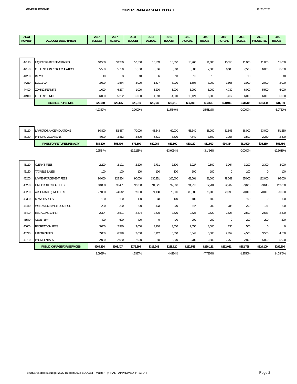| <b>ACCT</b><br><b>NUMBER</b> | <b>ACCOUNT DESCRIPTION</b>    | 2017<br><b>BUDGET</b> | 2017<br><b>ACTUAL</b> | 2018<br><b>BUDGET</b> | 2018<br><b>ACTUAL</b> | 2019<br><b>BUDGET</b> | 2019<br><b>ACTUAL</b> | 2020<br><b>BUDGET</b> | 2020<br><b>ACTUAL</b> | 2021<br><b>BUDGET</b> | 2021<br><b>PROJECTED</b> | 2022<br><b>BUDGET</b> |
|------------------------------|-------------------------------|-----------------------|-----------------------|-----------------------|-----------------------|-----------------------|-----------------------|-----------------------|-----------------------|-----------------------|--------------------------|-----------------------|
|                              |                               |                       |                       |                       |                       |                       |                       |                       |                       |                       |                          |                       |
|                              |                               |                       |                       |                       |                       |                       |                       |                       |                       |                       |                          |                       |
| 44110                        | LIQUOR & MALT BEVERAGES       | 10,500                | 10,280                | 10,500                | 10,333                | 10,500                | 10,760                | 11,000                | 10,555                | 11,000                | 11,000                   | 11,000                |
| 44120                        | OTHER BUSINESS/OCCUPATION     | 5,500                 | 5,730                 | 5,500                 | 8,006                 | 6,500                 | 8,000                 | 7,500                 | 6,605                 | 7,500                 | 6,800                    | 6,800                 |
| 44200                        | <b>BICYCLE</b>                | 10                    | $\overline{3}$        | 10                    | 6                     | 10                    | 10                    | 10                    | 3                     | 10                    | $\mathbf{0}$             | 10                    |
| 44210                        | DOG & CAT                     | 3,000                 | 1,584                 | 3,000                 | 1,677                 | 3,000                 | 1,504                 | 3,000                 | 1,606                 | 3,000                 | 2,000                    | 2,000                 |
| 44400                        | ZONING PERMITS                | 1,000                 | 6,277                 | 1,000                 | 5,200                 | 5,000                 | 6,200                 | 6,000                 | 4,730                 | 6,000                 | 5,500                    | 6,000                 |
| 44910                        | OTHER PERMITS                 | 6,000                 | 5,262                 | 6,000                 | 4,618                 | 4,000                 | 10,421                | 6,000                 | 5,417                 | 6,000                 | 6,000                    | 6,000                 |
|                              | <b>LICENSES &amp; PERMITS</b> | \$26,010              | \$29,136              | \$26,010              | \$29,840              | \$29,010              | \$36,895              | \$33,510              | \$28,916              | \$33,510              | \$31,300                 | \$31,810              |
|                              |                               | $-4.2342%$            |                       | 0.0000%               |                       | 11.5340%              |                       | 15.5119%              |                       | 0.0000%               |                          | $-5.0731%$            |
|                              |                               |                       |                       |                       |                       |                       |                       |                       |                       |                       |                          |                       |
|                              |                               |                       |                       |                       |                       |                       |                       |                       |                       |                       |                          |                       |
| 45110                        | LAW/ORDINANCE VIOLATIONS      | 80,800                | 52,887                | 70,000                | 45,343                | 60,000                | 55,340                | 58,000                | 31,596                | 58,000                | 33,000                   | 51,250                |
| 45130                        | PARKING VIOLATIONS            | 4,000                 | 3,813                 | 3,500                 | 5,621                 | 3,500                 | 4,849                 | 3,500                 | 2,758                 | 3,500                 | 2,280                    | 2,500                 |
|                              | FINES/FORFEITURES/PENALTY     | \$84,800              | \$56,700              | \$73,500              | \$50,964              | \$63,500              | \$60,189              | \$61,500              | \$34,354              | \$61,500              | \$35,280                 | \$53,750              |
|                              |                               | 0.9524%               |                       | $-13.3255%$           |                       | $-13.6054%$           |                       | $-3.1496%$            |                       | 0.0000%               |                          | $-12.6016%$           |
|                              |                               |                       |                       |                       |                       |                       |                       |                       |                       |                       |                          |                       |
| 46110                        | <b>CLERK'S FEES</b>           | 2,200                 | 2,191                 | 2,200                 | 2,731                 | 2,500                 | 3,227                 | 2,500                 | 3,064                 | 3,200                 | 2,300                    | 3,000                 |
| 46120                        | <b>TAXABLE SALES</b>          | 100                   | 100                   | 100                   | 100                   | 100                   | 100                   | 100                   | $\mathbf 0$           | 100                   | $\mathbf 0$              | 100                   |
| 46200                        | <b>LAW ENFORCEMENT FEES</b>   | 80,000                | 125,264               | 90,000                | 130,351               | 100,000               | 63,061                | 81,000                | 78,062                | 85,000                | 132,000                  | 95,000                |
| 46220                        | FIRE PROTECTION FEES          | 90,000                | 91,481                | 92,000                | 91,821                | 92,000                | 91,910                | 92,701                | 92,702                | 93,628                | 93,645                   | 119,000               |
| 46230                        | AMBULANCE (EMS) FEES          | 77,000                | 74,642                | 77,000                | 74,430                | 78,000                | 89,886                | 75,000                | 79,098                | 70,000                | 70,000                   | 70,000                |
| 46300                        | <b>DPW CHARGES</b>            | 100                   | 100                   | 100                   | 268                   | 100                   | 100                   | 100                   | $\mathbf{0}$          | 100                   | $\mathbf 0$              | 100                   |
| 46440                        | WEED & NUISANCE CONTROL       | 200                   | 200                   | 200                   | 433                   | 200                   | 647                   | 200                   | 785                   | 200                   | 131                      | 200                   |
| 46490                        | RECYCLING GRANT               | 2,394                 | 2,521                 | 2,394                 | 2,520                 | 2,520                 | 2,524                 | 2,520                 | 2,523                 | 2,500                 | 2,533                    | 2,500                 |
| 46540                        | CEMETERY                      | 400                   | 600                   | 400                   | $\bf 0$               | 400                   | 200                   | 200                   | $\bf 0$               | 200                   | 200                      | 200                   |
| 46600                        | <b>RECREATION FEES</b>        | 3,000                 | 2,930                 | 3,000                 | 3,230                 | 3,500                 | 2,550                 | 3,500                 | 230                   | 500                   | $\mathbf 0$              | 0                     |
| 46710                        | LIBRARY FEES                  | 7,000                 | 6,348                 | 7,000                 | 6,112                 | 6,500                 | 5,643                 | 5,500                 | 2,857                 | 4,500                 | 3,500                    | 4,500                 |
| 46720                        | <b>PARK RENTALS</b>           | 2,000                 | 2,050                 | 2,000                 | 3,250                 | 2,800                 | 2,700                 | 2,800                 | 2,760                 | 2,800                 | 5,800                    | 5,000                 |
|                              | PUBLIC CHARGE FOR SERVICES    | \$264,394             | \$308,427             | \$276,394             | \$315,246             | \$288,620             | \$262,548             | \$266,121             | \$262,081             | \$262,728             | \$310,109                | \$299,600             |

1.0951% 4.5387% 4.4234% -7.7954% -1.2750% 14.0343%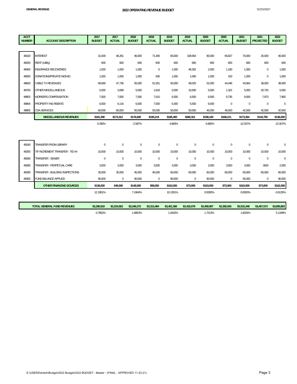| <b>ACCT</b><br><b>NUMBER</b> | <b>ACCOUNT DESCRIPTION</b>         | 2017<br><b>BUDGET</b> | 2017<br><b>ACTUAL</b> | 2018<br><b>BUDGET</b> | 2018<br><b>ACTUAL</b> | 2019<br><b>BUDGET</b> | 2019<br><b>ACTUAL</b> | 2020<br><b>BUDGET</b> | 2020<br><b>ACTUAL</b> | 2021<br><b>BUDGET</b> | 2021<br><b>PROJECTED</b> | 2022<br><b>BUDGET</b> |
|------------------------------|------------------------------------|-----------------------|-----------------------|-----------------------|-----------------------|-----------------------|-----------------------|-----------------------|-----------------------|-----------------------|--------------------------|-----------------------|
|                              |                                    |                       |                       |                       |                       |                       |                       |                       |                       |                       |                          |                       |
| 48100                        | <b>INTEREST</b>                    | 31,000                | 46,261                | 46,000                | 71,440                | 65,000                | 108,564               | 80,000                | 65,827                | 70,000                | 25,000                   | 40,000                |
| 48200                        | <b>RENT (Utility)</b>              | 600                   | 600                   | 600                   | 600                   | 600                   | 600                   | 600                   | 600                   | 600                   | 600                      | 600                   |
| 48400                        | INSURANCE RECOVERIES               | 1,000                 | 1,000                 | 1,000                 | $\mathbf 0$           | 1,000                 | 48,302                | 2,000                 | 1,180                 | 1,000                 | $\mathbf{0}$             | 1,000                 |
| 48500                        | DONATIONS/PRIVATE INDIVID          | 1,000                 | 1,000                 | 1,000                 | 500                   | 1,000                 | 1,000                 | 1,000                 | 100                   | 1,000                 | $\mathbf 0$              | 1,000                 |
| 48600                        | CABLE TV REVENUES                  | 69,690                | 47,736                | 55,000                | 51,551                | 50,000                | 49,025                | 52,000                | 44,446                | 43,664                | 38,000                   | 38,000                |
| 48700                        | OTHER MISCELLANEOUS                | 5,000                 | 3,699                 | 5,000                 | 1,618                 | 5,000                 | 10,830                | 5,000                 | 1,322                 | 5,000                 | 20,720                   | 5,000                 |
| 48803                        | WORKERS COMPENSATION               | 7.000                 | 7,000                 | 7.000                 | 7,510                 | 6,500                 | 6,500                 | 6,500                 | 9,735                 | 9,500                 | 7,973                    | 7,900                 |
| 48804                        | PROPERTY INS REBATE                | 6.000                 | 6.116                 | 6.000                 | 7,000                 | 6,300                 | 5,500                 | 6.000                 | $\mathbf{0}$          | $\mathbf{0}$          | $\mathbf 0$              | $\mathbf{0}$          |
| 48805                        | CDA SERVICES                       | 60.000                | 60,000                | 55,000                | 55,000                | 50,000                | 50,000                | 45,000                | 45,000                | 42,500                | 42,500                   | 42,500                |
|                              | <b>MISCELLANEOUS REVENUES</b>      | \$181,290             | \$173,412             | \$176,600             | \$195,219             | \$185,400             | \$280,321             | \$198,100             | \$168,211             | \$173,264             | \$134,793                | \$136,000             |
|                              |                                    | 0.290%                |                       | $-2.587%$             |                       | 4.983%                |                       | 6.850%                |                       | $-12.537%$            |                          | $-21.507%$            |
|                              |                                    |                       |                       |                       |                       |                       |                       |                       |                       |                       |                          |                       |
|                              |                                    |                       |                       |                       |                       |                       |                       |                       |                       |                       |                          |                       |
| 49240                        | TRANSFER FROM LIBRARY              | $\mathbf{0}$          | $\mathbf 0$           | $\mathbf 0$           | $\mathbf 0$           | 0                     | $\boldsymbol{0}$      | $\bf{0}$              | $\pmb{0}$             | $\bf{0}$              | $\bf 0$                  | $\bf 0$               |
| 49250                        | TIF INCREMENT TRANSFER - TID #4    | 10,000                | 10,000                | 10,000                | 10,000                | 10,000                | 10,000                | 10,000                | 10,000                | 10,000                | 10,000                   | 10,000                |
| 49260                        | TRANSFER - SEWER                   | $\mathbf{0}$          | $\bf 0$               | $\boldsymbol{0}$      | $\mathbf{0}$          | $\pmb{0}$             | $\mathbf 0$           | $\mathbf{0}$          | $\mathbf{0}$          | $\bf 0$               | $\mathbf{0}$             | $\mathbf{0}$          |
| 49280                        | TRANSFER - PERPETUAL CARE          | 3,000                 | 3,000                 | 3.000                 | 3,000                 | 3,000                 | 3,000                 | 3,000                 | 3,000                 | 3.000                 | 3000                     | 2,000                 |
| 49290                        | TRANSFER - BUILDING INSPECTIONS    | 35,000                | 35,000                | 45,000                | 45,000                | 60,000                | 60,000                | 60,000                | 60,000                | 60,000                | 60,000                   | 60,000                |
| 49300                        | FUND BALANCE APPLIED               | 90,000                | $\boldsymbol{0}$      | 90,000                | $\mathbf 0$           | 90,000                | $\mathsf{O}\xspace$   | 90,000                | $\,0\,$               | 90,000                | $\boldsymbol{0}$         | 90,000                |
|                              | <b>OTHER FINANCING SOURCES</b>     | \$138,000             | \$48,000              | \$148,000             | \$58,000              | \$163,000             | \$73,000              | \$163,000             | \$73,000              | \$163,000             | \$73,000                 | \$162,000             |
|                              |                                    | 12.1951%              |                       | 7.2464%               |                       | 10.1351%              |                       | 0.0000%               |                       | 0.0000%               |                          | $-0.6135%$            |
|                              |                                    |                       |                       |                       |                       |                       |                       |                       |                       |                       |                          |                       |
|                              | <b>TOTAL GENERAL FUND REVENUES</b> | \$3,290,910           | \$3,234,563           | \$3,346,372           | \$3,313,484           | \$3,401,360           | \$3,432,079           | \$3,459,907           | \$3,365,943           | \$3,515,348           | \$3,407,573              | \$3,695,853           |
|                              |                                    | 0.7852%               |                       | 1.6853%               |                       | 1.6432%               |                       | 1.7213%               |                       | 1.6024%               |                          | 5.1348%               |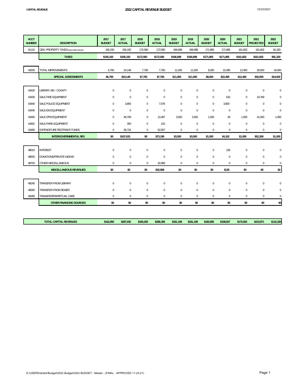| <b>ACCT</b><br><b>NUMBER</b> | <b>DESCRIPTION</b>                              | 2017<br><b>BUDGET</b> | 2017<br><b>ACTUAL</b> | 2018<br><b>BUDGET</b> | 2018<br><b>ACTUAL</b> | 2019<br><b>BUDGET</b> | 2019<br><b>ACTUAL</b> | 2020<br><b>BUDGET</b> | 2020<br><b>ACTUAL</b> | 2021<br><b>BUDGET</b> | 2021<br><b>PROJECTED</b> | 2022<br><b>BUDGET</b> |
|------------------------------|-------------------------------------------------|-----------------------|-----------------------|-----------------------|-----------------------|-----------------------|-----------------------|-----------------------|-----------------------|-----------------------|--------------------------|-----------------------|
| 41110                        | <b>GEN. PROPERTY TAXES (w/out Debt Service)</b> | 156,150               | 156,150               | 172,560               | 172,560               | 166,698               | 166,698               | 171,865               | 171,865               | 161,602               | 161,602                  | 91,320                |
|                              | <b>TAXES</b>                                    | \$156,150             | \$156,150             | \$172,560             | \$172,560             | \$166,698             | \$166,698             | \$171,865             | \$171,865             | \$161,602             | \$161,602                | \$91,320              |
|                              |                                                 |                       |                       |                       |                       |                       |                       |                       |                       |                       |                          |                       |
| 42000                        | TOTAL IMPROVEMENTS                              | 6,700                 | 24,149                | 7,700                 | 7,700                 | 11,000                | 11,000                | 8,000                 | 22,495                | 12,400                | 20,000                   | 24,000                |
|                              | <b>SPECIAL ASSESSMENTS</b>                      | \$6,700               | \$24,149              | \$7,700               | \$7,700               | \$11,000              | \$11,000              | \$8,000               | \$22,495              | \$12,400              | \$20,000                 | \$24,000              |
|                              |                                                 |                       |                       |                       |                       |                       |                       |                       |                       |                       |                          |                       |
| 43420                        | LIBRARY AID - COUNTY                            | $\mathbf 0$           | $\boldsymbol{0}$      | $\mathbf 0$           | $\mathbf 0$           | $\mathbf 0$           | $\mathbf 0$           | $\mathbf 0$           | $\mathbf 0$           | $\mathbf 0$           | $\mathbf 0$              | $\Omega$              |
| 43430                        | SALE FIRE EQUIPMENT                             | $\mathbf{0}$          | $\mathbf 0$           | $\mathbf{0}$          | $\mathbf 0$           | $\mathbf{0}$          | $\mathbf 0$           | $\mathbf{0}$          | 532                   | $\mathbf 0$           | 10,769                   | 0                     |
| 43440                        | SALE POLICE EQUIPMENT                           | $\mathbf 0$           | 3,850                 | $\mathbf{0}$          | 7,076                 | $\mathbf 0$           | $\mathbf 0$           | $\mathbf{0}$          | 3,600                 | $\mathbf 0$           | $\mathbf{0}$             | $\pmb{0}$             |
| 43445                        | SALE-EM EQUIPMENT                               | $\mathbf 0$           | $\boldsymbol{0}$      | $\mathbf 0$           | $\boldsymbol{0}$      | $\mathbf 0$           | $\bf 0$               | $\mathbf{0}$          | $\mathbf 0$           | $\boldsymbol{0}$      | $\mathbf 0$              | $\pmb{0}$             |
| 43450                        | SALE DPW EQUIPMENT                              | $\mathbf{0}$          | 46,709                | $\mathbf{0}$          | 13,397                | 3.500                 | 3,500                 | 1,000                 | 30                    | 1,000                 | 41,500                   | 1,000                 |
| 43452                        | SALE-PARK EQUIPMENT                             | $\boldsymbol{0}$      | 350                   | $\mathbf 0$           | 210                   | $\mathbf 0$           | $\boldsymbol{0}$      | $\pmb{0}$             | $\mathbf 0$           | $\bf 0$               | $\mathbf 0$              | $\pmb{0}$             |
| 43460                        | <b>EXPENDITURE RESTRAINT FUNDS</b>              | $\bf 0$               | 56,724                | $\mathbf 0$           | 52,507                | $\mathbf 0$           | $\mathbf 0$           | $\pmb{0}$             | $\boldsymbol{0}$      | $\boldsymbol{0}$      | $\mathbf 0$              | $\pmb{0}$             |
|                              | <b>INTERGOVERNMENTAL REV</b>                    | \$0                   | \$107,633             | \$0                   | \$73,190              | \$3,500               | \$3,500               | \$1,000               | \$4,162               | \$1,000               | \$52,269                 | \$1,000               |
|                              |                                                 |                       |                       |                       |                       |                       |                       |                       |                       |                       |                          |                       |
| 48010                        | <b>INTEREST</b>                                 | $\mathbf 0$           | $\boldsymbol{0}$      | $\mathbf 0$           | $\mathbf 0$           | $\mathbf 0$           | $\mathbf 0$           | $\mathbf 0$           | 135                   | $\bf{0}$              | $\bf{0}$                 | $\mathbf 0$           |
| 48500                        | DONATIONS/PRIVATE INDIVID                       | $\mathbf 0$           | $\mathbf 0$           | $\mathbf 0$           | $\mathbf 0$           | $\mathbf 0$           | $\boldsymbol{0}$      | $\pmb{0}$             | $\mathbf 0$           | $\pmb{0}$             | $\mathbf 0$              | $\pmb{0}$             |
| 48700                        | OTHER MISCELLANEOUS                             | $\bf 0$               | $\mathbf 0$           | $\mathbf{0}$          | 32,908                | $\mathbf 0$           | $\boldsymbol{0}$      | $\pmb{0}$             | $\pmb{0}$             | $\boldsymbol{0}$      | $\bf 0$                  | $\pmb{0}$             |
|                              | <b>MISCELLANEOUS REVENUES</b>                   | \$0                   | \$0                   | \$0                   | \$32.908              | \$0                   | \$0                   | \$0                   | \$135                 | \$0                   | \$0                      | \$0                   |
|                              |                                                 |                       |                       |                       |                       |                       |                       |                       |                       |                       |                          |                       |
| 49240                        | <b>TRANSFER FROM LIBRARY</b>                    | $\mathbf 0$           | $\mathbf 0$           | $\mathbf{0}$          | $\mathbf 0$           | $\mathbf 0$           | $\mathbf 0$           | $\mathbf{0}$          | $\mathbf 0$           | $\bf 0$               | $\mathbf 0$              | $\mathbf 0$           |
| 49260                        | <b>TRANSFER FROM SEWER</b>                      | $\bf 0$               | $\mathbf 0$           | $\mathbf 0$           | $\mathbf 0$           | $\mathbf 0$           | $\bf 0$               | $\mathbf 0$           | $\mathbf 0$           | $\bf 0$               | $\mathbf{0}$             | $\pmb{0}$             |
| 49280                        | TRANSFER/PERPETUAL CARE                         | $\mathbf 0$           | $\mathbf 0$           | $\boldsymbol{0}$      | $\mathbf 0$           | $\mathbf 0$           | $\mathbf 0$           | $\mathbf 0$           | 0                     | $\pmb{0}$             | $\mathbf{0}$             | $\pmb{0}$             |
|                              | <b>OTHER FINANCING SOURCES</b>                  | \$0                   | \$0                   | \$0                   | \$0                   | \$0                   | \$0                   | \$0                   | \$0                   | \$0                   | \$0                      | \$0                   |

| <b>TOTAL CAPITAL REVENUES</b> | \$162.850 | \$287.932 | \$180.260 | \$286.358 | \$181.198 | \$181.198 | \$180.865 | \$198.657 | \$175,002 | \$233.871 | \$116.320 |
|-------------------------------|-----------|-----------|-----------|-----------|-----------|-----------|-----------|-----------|-----------|-----------|-----------|
|                               |           |           |           |           |           |           |           |           |           |           |           |
|                               |           |           |           |           |           |           |           |           |           |           |           |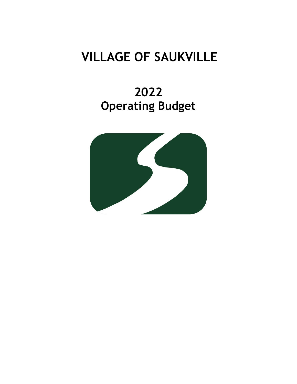# **VILLAGE OF SAUKVILLE**

# **2022 Operating Budget**

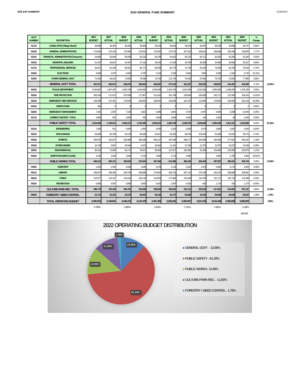|  | 12/26/2 |
|--|---------|
|  |         |
|  |         |

| <b>ACCT</b><br><b>NUMBER</b> | <b>DESCRIPTION</b>                          | 2017<br><b>BUDGET</b> | 2017<br><b>ACTUAL</b> | 2018<br><b>BUDGET</b> | 2018<br><b>ACTUAL</b> | 2019<br><b>BUDGET</b> | 2019<br><b>ACTUAL</b> | 2020<br><b>BUDGET</b> | 2020<br><b>ACTUAL</b> | 2021<br><b>BUDGET</b> | 2021<br><b>ACTUAL</b> | 2022<br><b>BUDGET</b> | %<br>Change |        |
|------------------------------|---------------------------------------------|-----------------------|-----------------------|-----------------------|-----------------------|-----------------------|-----------------------|-----------------------|-----------------------|-----------------------|-----------------------|-----------------------|-------------|--------|
| 51110                        | <b>LEGISLATIVE (Village Board)</b>          | 38.086                | 36.404                | 38.28                 | 36.656                | 38.316                | 36.618                | 38.433                | 35.507                | 38.530                | 35.696                | 38.74                 | 0.56%       |        |
| 51410                        | <b>GENERAL ADMINISTRATION</b>               | 174,840               | 179.146               | 175.569               | 178,010               | 176.542               | 178.73                | 167.61                | 168.61                | 169.846               | 166.246               | 156.65                | $-7.77%$    |        |
| 51510                        | <b>FINANCIAL ADMINISTRATION (Treasurer)</b> | 54,86                 | 55,640                | 56,058                | 55,216                | 56.709                | 54,01                 | 58,724                | 65,711                | 62,500                | 62.283                | 62,190                | $-0.50%$    |        |
| 51610                        | MUNICIPAL BUILDING                          | 31,397                | 29,62                 | 29,357                | 27,116                | 29,53                 | 27,42                 | 29,708                | 30,358                | 25,689                | 30,602                | 28,22                 | 9.88%       |        |
| 51710                        | <b>PROFESSIONAL SERVICES</b>                | 94.02                 | 62,186                | 90,051                | 55,771                | 84,930                | 65,776                | 74,736                | 64,325                | 73,064                | 64,750                | 75.06                 | 2.74%       |        |
| 51810                        | <b>ELECTIONS</b>                            | 3.458                 | 2.570                 | 5,663                 | 4.797                 | 3.118                 | 2,230                 | 5.846                 | 7.660                 | 3.528                 | 2.310                 | 6,742                 | 91.10%      |        |
| 51910                        | OTHER GENERAL GOVT                          | 71.000                | 99.100                | 72.000                | 79.338                | 73.750                | 112.719               | 76.200                | 87.08                 | 75.700                | 72.600                | 77.860                | 2.85%       |        |
|                              | <b>GENERAL GOVT TOTAL</b>                   | 467.67                | 464.673               | 466.979               | 436.904               | 462.897               | 477.512               | 451.257               | 459.255               | 448.857               | 434.487               | 445.480               | $-0.75%$    | 12.05% |
| 52100                        | <b>POLICE DEPARTMENT</b>                    | 1,533,88              | 1,457,397             | 1,560,789             | 1,443,828             | 1,595,089             | 1,503,726             | 1,615,299             | 1,532,530             | 1,656,508             | 1,638,262             | 1,700,13              | 2.63%       |        |
| 52210                        | <b>FIRE PROTECTION</b>                      | 206,240               | 171,672               | 207,858               | 177,957               | 213,162               | 191,769               | 239,606               | 183,828               | 242,171               | 137,950               | 209,18                | $-13.62%$   |        |
| 52310                        | <b>EMERGENCY MED SERVICES</b>               | 159.288               | 137.45                | 178.545               | 138.922               | 185.904               | 129.509               | 181.379               | 113.883               | 179.818               | 126.690               | 342.16                | 90.28%      |        |
| 52410                        | <b>INSPECTIONS</b>                          | 300                   |                       |                       |                       |                       |                       |                       |                       | n                     |                       |                       | 0.00%       |        |
| 52610                        | <b>EMERGENCY MANAGEMENT</b>                 | 7,165                 | 1,967                 | 7,165                 | 3,923                 | 8.486                 | 6,867                 | 9,794                 | 9,447                 | 9.909                 | 9.209                 | 10,40                 | 5.05%       |        |
| 52710                        | <b>CORRECT./DETENT. TOTAL</b>               | 3.800                 | 525                   | 3,800                 | 766                   | 3.000                 | 3.928                 | 2,500                 | 160                   | 2.000                 | 40                    | 2.000                 | 0.00%       |        |
|                              | <b>PUBLIC SAFETY TOTAL</b>                  | 1,910,680             | 1,769,012             | 1,958,157             | 1,765,396             | 2,005,64              | 1,835,799             | 2,048,578             | 1,839,848             | 2,090,406             | 1,912,151             | 2,263,888             | 8.30%       | 61.25% |
| 53110                        | <b>ENGINEERING</b>                          | 7.500                 | 501                   | 5.000                 | 1.050                 | 5.000                 | 2.320                 | 5.000                 | 2.070                 | 4.000                 | 2.000                 | 4.000                 | 0.00%       |        |
| 53210                        | <b>DPW GARAGE</b>                           | 53,66                 | 95.768                | 54,134                | 84,830                | 55.92                 | 94.182                | 58.343                | 104.304               | 56.498                | 91.815                | 59.175                | 4.74%       |        |
| 53310                        | <b>STREETS</b>                              | 303,670               | 314,037               | 282,980               | 296,396               | 285,137               | 307,526               | 289,177               | 284,395               | 294,384               | 277,622               | 290,18                | $-1.43%$    |        |
| 53410                        | <b>STORM SEWER</b>                          | 16.728                | 5.80                  | 20,940                | 5.673                 | 20.964                | 11.421                | 22.768                | 12.37                 | 23.076                | 10.275                | 23.18                 | 0.49%       |        |
| 53510                        | <b>SNOW REMOVAL</b>                         | 82,616                | 72,80                 | 92,172                | 78,971                | 95.959                | 121,517               | 100,382               | 81.260                | 104,969               | 100.950               | 103,675               | $-1.23%$    |        |
| 53610                        | <b>SANITATION (RECYCLING)</b>               | 4,230                 | 3,208                 | 4,294                 | 5,704                 | 4.368                 | 4,71                  | 4,486                 |                       | 4.960                 | 5,759                 | 3,491                 | $-29.62%$   |        |
|                              | <b>PUBLIC WORKS TOTAL</b>                   | 468.412               | 492.121               | 459,520               | 472.624               | 467.349               | 541.680               | 480.156               | 484.404               | 487.887               | 488.421               | 483.716               | $-0.85%$    | 13.09% |
| 54910                        | <b>CEMETERY</b>                             | 1.655                 | 2.545                 | 4,558                 | 1.695                 | 3.478                 | 1.133                 | 3,524                 | 1.678                 | 3.681                 | 3.175                 | 3.58                  | $-2.66%$    |        |
| 55110                        | <b>LIBRARY</b>                              | 258.62                | 258.395               | 268.378               | 265.888               | 274.802               | 269.752               | 287.131               | 276.158               | 294.215               | 288.689               | 309.98                | 5.36%       |        |
| 55210                        | <b>PARKS</b>                                | 124.57                | 116.167               | 119,410               | 150.118               | 116.059               | 117.682               | 118,449               | 116.784               | 122.171               | 125.742               | 122.39                | 0.19%       |        |
| 55310                        | <b>RECREATION</b>                           | 6,566                 | 4.597                 | 5,993                 | 3,650                 | 5.032                 | 3,397                 | 4,532                 | 582                   | 1,175                 | 150                   | 1,175                 | 0.00%       |        |
|                              | <b>CULTURE-PARK-REC. TOTAL</b>              | 389,770               | 379.159               | 393.781               | 419.656               | 395,893               | 390.831               | 410.112               | 393.524               | 417.561               | 414.581               | 437.137               | 4.69%       | 11.83% |
| 56000                        | <b>FORESTRY / WEED CONTROL</b>              | 52,722                | 52.181                | 63,376                | 48.203                | 66,102                | 35.727                | 66,280                | 42.324                | 66,956                | 34.043                | 65,632                | $-1.98%$    | 1.78%  |
|                              | <b>TOTAL OPERATING BUDGET</b>               | 3,290,910             | 3,159,691             | 3,346,372             | 3,144,478             | 3,401,360             | 3,282,681             | 3,459,907             | 3,221,033             | 3,515,348             | 3,286,858             | 3,695,853             |             | 100%   |
|                              |                                             | 0.785%                |                       | 1.685%                |                       | 1.643%                |                       | 1.721%                |                       | 1.602%                |                       | 5.135%                |             |        |

180,505

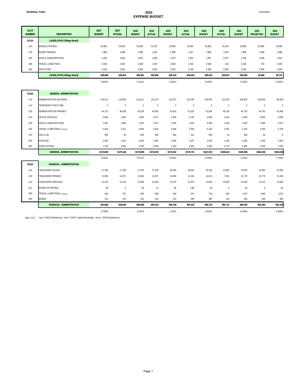| 12/23/2021 |
|------------|
|------------|

| <b>ACCT</b>   |                                    | 2017          | 2017          | 2018          | 2018          | 2019          | 2019          | 2020          | 2020          | 2021          | 2021             | 2022             |
|---------------|------------------------------------|---------------|---------------|---------------|---------------|---------------|---------------|---------------|---------------|---------------|------------------|------------------|
| <b>NUMBER</b> | <b>DESCRIPTION</b>                 | <b>BUDGET</b> | <b>ACTUAL</b> | <b>BUDGET</b> | <b>ACTUAL</b> | <b>BUDGET</b> | <b>ACTUAL</b> | <b>BUDGET</b> | <b>ACTUAL</b> | <b>BUDGET</b> | <b>PROJECTED</b> | <b>BUDGET</b>    |
| 51110         | <b>LEGISLATIVE (Village Board)</b> |               |               |               |               |               |               |               |               |               |                  |                  |
| $-110$        | <b>BOARD STIPENDS</b>              | 25,960        | 24,820        | 25,960        | 25,375        | 25,960        | 25,060        | 25,960        | 25,420        | 25,960        | 25,960           | 25,960           |
| $-130$        | <b>BOARD FRINGES</b>               | 1,986         | 1,899         | 1,986         | 1,941         | 1,986         | 1,917         | 1,986         | 1,945         | 1,986         | 1,986            | 1,986            |
| $-320$        | <b>DUES &amp; SUBSCRIPTIONS</b>    | 2,440         | 2,064         | 2,535         | 1,860         | 2,570         | 1,953         | 2,687         | 2,027         | 2,784         | 2,000            | 3,001            |
| $-330$        | TRAVEL & MEETINGS                  | 2,500         | 2,087         | 2,500         | 1,827         | 2,500         | 2,919         | 2,500         | 516           | 2,500         | 750              | 2,500            |
| $-335$        | <b>GRATUITIES</b>                  | 5,200         | 5,534         | 5,300         | 5,653         | 5,300         | 4,769         | 5,300         | 5,599         | 5,300         | 5,000            | 5,300            |
|               | <b>LEGISLATIVE (Village Board)</b> | \$38,086      | \$36,404      | \$38,281      | \$36,656      | \$38,316      | \$36,618      | \$38,433      | \$35,507      | \$38,530      | 35,696           | 38,747           |
|               |                                    | 0.954%        |               | 0.512%        |               | 0.091%        |               | 0.305%        |               | 0.252%        |                  | 0.563%           |
| 51410         | <b>GENERAL ADMINISTRATION</b>      |               |               |               |               |               |               |               |               |               |                  |                  |
| $-110$        | ADMINISTRATION SALARIES            | 116,412       | 116,829       | 115,611       | 116,374       | 118,207       | 119,205       | 109,954       | 110,078       | 109,954       | 109,954          | 99,509           |
| $-112$        | TEMPORARY PART-TIME                | $\mathbb O$   | $\bf 0$       | $\mathbb O$   | $\mathbf 0$   | $\mathbf 0$   | $\bf 0$       | $\bf 0$       | $\mathbb O$   | $\bf 0$       | $\bf 0$          | $\boldsymbol{0}$ |
| $-130$        | <b>ADMINISTRATION FRINGES</b>      | 44,713        | 48,038        | 45,239        | 43,655        | 43,616        | 42,302        | 42,506        | 46,105        | 44,742        | 44,742           | 41,866           |
| $-310$        | OFFICE SUPPLIES                    | 3,000         | 2,963         | 3,000         | 3,027         | 3,000         | 3,195         | 3,000         | 3,201         | 3,000         | 3,000            | 3,000            |
| $-320$        | <b>DUES &amp; SUBSCRIPTIONS</b>    | 1,845         | 1,606         | 1,935         | 1,974         | 1,935         | 2,302         | 2,000         | 2,436         | 2,000         | 2,000            | 2,075            |
| $-330$        | TRAVEL & MEETINGS (Training)       | 4,620         | 4,151         | 5.084         | 5,650         | 5.084         | 5,463         | 5.150         | 1,652         | 5,150         | 2.500            | 5,700            |
| $-370$        | <b>GAS &amp; OIL</b>               | 500           | 95            | 500           | 288           | 500           | 413           | 500           | 18            | 500           | 50               | $\boldsymbol{0}$ |
| $-390$        | POSTAGE                            | 2,000         | 2,103         | 2,000         | 1,984         | 2,000         | 1,947         | 2,000         | 1,354         | 2,000         | 1,500            | 2,000            |
| $-395$        | <b>PUBLICATIONS</b>                | 1,750         | 3,361         | 2,200         | 5,058         | 2,200         | 3,903         | 2,500         | 3,770         | 2,500         | 2,500            | 2,500            |
|               | <b>GENERAL ADMINISTRATION</b>      | \$174,840     | \$179,146     | \$175,569     | \$178,010     | \$176,542     | \$178,731     | \$167,610     | \$168,614     | \$169,846     | \$166,246        | \$156,650        |
|               |                                    | 2.246%        |               | 0.417%        |               | 0.554%        |               | $-5.059%$     |               | 1.334%        |                  | $-7.769%$        |
| 51510         | <b>FINANCIAL ADMINISTRATION</b>    |               |               |               |               |               |               |               |               |               |                  |                  |
| $-110$        | <b>TREASURER SALARY</b>            | 27,384        | 27,383        | 27,935        | 27,939        | 28,560        | 28,562        | 29,203        | 43,804        | 32,000        | 32,000           | 32,960           |
| $-130$        | <b>TREASURER FRINGES</b>           | 13,630        | 14,372        | 13,863        | 13,072        | 13,969        | 11,104        | 14,921        | 7,351         | 15,770        | 15,770           | 15,200           |
| $-210$        | <b>ASSESSORS SERVICES</b>          | 13,100        | 13,100        | 13,300        | 13,300        | 13,370        | 13,370        | 13,500        | 13,500        | 13,300        | 13,213           | 12,600           |
| $-211$        | <b>BOARD OF REVIEW</b>             | 60            | $\bf 0$       | 60            | 10            | 60            | 3.98          | 60            | $\mathbf{0}$  | 60            | $\mathbf{0}$     | 60               |
| $-330$        | TRAVEL & MEETINGS (Training)       | 485           | 575           | 690           | 685           | 540           | 676           | 740           | 846           | 1070          | 1000             | 1070             |
| $-520$        | <b>BONDS</b>                       | 210           | 210           | 210           | 210           | 210           | 300           | 300           | 210           | 300           | 300              | 300              |
|               | <b>FINANCIAL ADMINISTRATION</b>    | \$54,869      | \$55,640      | \$56,058      | \$55,216      | \$56,709      | \$54,015      | \$58,724      | \$65,711      | \$62,500      | \$62,283         | \$62,190         |
|               |                                    | 0.708%        |               | 2.167%        |               | 1.161%        |               | 3.553%        |               | 6.430%        |                  | $-0.496%$        |

Note: #210 Year 1 (2022) Maintenance, Year 2 \*(2023) Market Revaluation, Year 3 (2024) Maintenance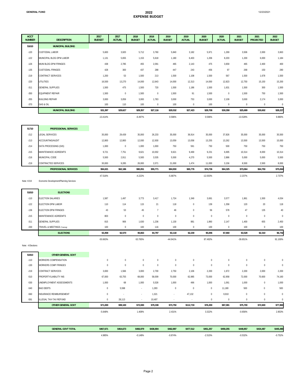#### **GENERAL FUND 2022 EXPENSE BUDGET**

| <b>ACCT</b><br><b>NUMBER</b> | <b>DESCRIPTION</b>                         | 2017<br><b>BUDGET</b> | 2017<br><b>ACTUAL</b> | 2018<br><b>BUDGET</b> | 2018<br><b>ACTUAL</b> | 2019<br><b>BUDGET</b> | 2019<br><b>ACTUAL</b> | 2020<br><b>BUDGET</b> | 2020<br><b>ACTUAL</b> | 2021<br><b>BUDGET</b> | 2021<br><b>PROJECTED</b> | 2022<br><b>BUDGET</b> |
|------------------------------|--------------------------------------------|-----------------------|-----------------------|-----------------------|-----------------------|-----------------------|-----------------------|-----------------------|-----------------------|-----------------------|--------------------------|-----------------------|
| 51610                        | <b>MUNICIPAL BUILDING</b>                  |                       |                       |                       |                       |                       |                       |                       |                       |                       |                          |                       |
| $-120$                       | <b>CUSTODIAL LABOR</b>                     | 5,600                 | 3,920                 | 5,712                 | 3,760                 | 5,840                 | 3,182                 | 5,971                 | 1,269                 | 3,506                 | 2,000                    | 3,663                 |
| $-122$                       | MUNICIPAL BLDG DPW LABOR                   | 1,131                 | 5,655                 | 1,153                 | 5,618                 | 1,180                 | 6,403                 | 1,206                 | 8,203                 | 1,200                 | 6,000                    | 1,184                 |
| $-126$                       | MUNI BLDG DPW FRINGES                      | 438                   | 2,785                 | 455                   | 2,091                 | 465                   | 2,143                 | 475                   | 3,659                 | 465                   | 2,400                    | 400                   |
| $-135$                       | <b>CUSTODIAL FRINGES</b>                   | 428                   | 300                   | 437                   | 288                   | 447                   | 243                   | 456                   | 97                    | 268                   | 150                      | 280                   |
| $-219$                       | CONTRACT SERVICES                          | 1,200                 | 53                    | 1,500                 | 213                   | 1,500                 | 1,108                 | 1,500                 | 567                   | 1,500                 | 1,678                    | 1,500                 |
| $-220$                       | UTILITIES                                  | 16,500                | 13,270                | 14,000                | 12,643                | 14,000                | 12,313                | 14,000                | 12,823                | 12,750                | 15,150                   | 15,200                |
| $-311$                       | <b>GENERAL SUPPLIES</b>                    | 1,500                 | 475                   | 1,500                 | 720                   | 1,500                 | 1,186                 | 1,500                 | 1,631                 | 1,500                 | 300                      | 1,500                 |
| $-350$                       | EQUIPMENT REPAIR                           | 1,500                 | $\,0\,$               | 1,500                 | $\mathbf 0$           | 1,500                 | 91                    | 1,500                 | $\bf{0}$              | 1,500                 | 750                      | 1,500                 |
| $-355$                       | <b>BUILDING REPAIR</b>                     | 3,000                 | 3,059                 | 3,000                 | 1,783                 | 3,000                 | 753                   | 3,000                 | 2,109                 | 3,000                 | 2,174                    | 3,000                 |
| $-370$                       | GAS & OIL                                  | 100                   | 110                   | 100                   | $\mathbf 0$           | 100                   | $\bf 0$               | 100                   | $\pmb{0}$             | $\mathbb O$           | $\,0\,$                  | $\,0\,$               |
|                              | <b>MUNICIPAL BUILDING</b>                  | \$31,397              | \$29,627              | \$29,357              | \$27,116              | \$29,532              | \$27,423              | \$29,708              | \$30,358              | \$25,689              | \$30,602                 | \$28,227              |
|                              |                                            | $-13.414%$            |                       | $-6.497%$             |                       | 0.596%                |                       | 0.596%                |                       | $-13.528%$            |                          | 9.880%                |
|                              |                                            |                       |                       |                       |                       |                       |                       |                       |                       |                       |                          |                       |
| 51710                        | PROFESSIONAL SERVICES                      |                       |                       |                       |                       |                       |                       |                       |                       |                       |                          |                       |
| $-212$                       | LEGAL SERVICES                             | 35,000                | 29,439                | 35,000                | 26,233                | 35,000                | 36,914                | 35,000                | 37,826                | 35,000                | 35,000                   | 35,500                |
| $-213$                       | ACCOUNTING/AUDIT                           | 12,800                | 12,800                | 12,930                | 12,930                | 13,059                | 13,058                | 13,255                | 13,262                | 13,500                | 13,500                   | 15,000                |
| $-214$                       | DATA PROCESSING (GIS)                      | 1,000                 | $\mathbf 0$           | 1,000                 | 1,000                 | 750                   | 591                   | 750                   | 500                   | 750                   | 750                      | 750                   |
| $-215$                       | MAINTENANCE AGREEMTS                       | 9,721                 | 7,751                 | 9,621                 | 10,002                | 9,621                 | 9,469                 | 9,231                 | 6,695                 | 10,314                | 8,000                    | 10,314                |
| $-216$                       | MUNICIPAL CODE                             | 5,500                 | 2,911                 | 5,500                 | 3,535                 | 5,500                 | 4,270                 | 5,500                 | 2,886                 | 5,000                 | 5,000                    | 5,500                 |
| $-219$                       | CONTRACTED SERVICES                        | 30,000                | 9,285                 | 26,000                | 2,071                 | 21,000                | 1,474                 | 11,000                | 3,156                 | 8,500                 | 2,500                    | 8,000                 |
|                              | PROFESSIONAL SERVICES                      | \$94,021              | \$62,186              | \$90,051              | \$55,771              | \$84,930              | \$65,776              | \$74,736              | \$64,325              | \$73,064              | \$64,750                 | \$75,064              |
|                              |                                            | 47.516%               |                       | $-4.222%$             |                       | $-5.687%$             |                       | $-12.003%$            |                       | $-2.237%$             |                          | 2.737%                |
| Note: #219                   | Economic Development/Planning Services     |                       |                       |                       |                       |                       |                       |                       |                       |                       |                          |                       |
|                              |                                            |                       |                       |                       |                       |                       |                       |                       |                       |                       |                          |                       |
| 51810                        | <b>ELECTIONS</b>                           |                       |                       |                       |                       |                       |                       |                       |                       |                       |                          |                       |
| $-110$                       | ELECTION SALARIES                          | 1,587                 | 1,497                 | 3,773                 | 3,417                 | 1,724                 | 1,349                 | 3,691                 | 3,577                 | 1,861                 | 1,500                    | 4,034                 |
| $-122$                       | ELECTION DPW LABOR                         | 110                   | 114                   | 115                   | 21                    | 118                   | $\bf 0$               | 139                   | 1,358                 | 120                   | 20                       | 118                   |
| $-136$                       | ELECTION DPW FRINGES                       | 43                    | 53                    | 45                    | $\overline{7}$        | 46                    | $\bf 0$               | 56                    | 578                   | 47                    | 135                      | 40                    |
| $-215$                       | MAINTENANCE AGREEMTS                       | 803                   | $\bf 0$               | $\mathbb O$           | $\mathbb O$           | $\mathbb O$           | $\bf 0$               | $\bf 0$               | $\mathbb O$           | $\mathbb O$           | $\mathbb O$              | $\bf 0$               |
| $-311$                       | GENERAL SUPPLIES                           | 815                   | 906                   | 1,630                 | 1,236                 | 1,130                 | 881                   | 1,860                 | 2,147                 | 1,400                 | 655                      | 2,450                 |
| $-330$                       | TRAVEL & MEETINGS (Training)               | 100                   | $\mathbf 0$           | 100                   | 116                   | 100                   | $\mathbf 0$           | 100                   | $\mathbf 0$           | 100                   | $\mathbf 0$              | 100                   |
|                              | <b>ELECTIONS</b>                           | \$3,458               | \$2,570               | \$5,663               | \$4,797               | \$3,118               | \$2,230               | \$5,846               | \$7,660               | \$3,528               | \$2,310                  | \$6,742               |
|                              |                                            | $-50.663%$            |                       | 63.765%               |                       | -44.941%              |                       | 87.492%               |                       | $-39.651%$            |                          | 91.100%               |
| Note: 4 Elections            |                                            |                       |                       |                       |                       |                       |                       |                       |                       |                       |                          |                       |
|                              |                                            |                       |                       |                       |                       |                       |                       |                       |                       |                       |                          |                       |
| 51910<br>$-110$              | OTHER GENERAL GOVT<br>WORKERS COMPENSATION | $\mathbf 0$           | $\bf{0}$              | $\mathbf 0$           | $\mathbf 0$           | $\mathbf 0$           | $\bf{0}$              | 0                     | $\bf{0}$              | $\mathbf 0$           | $\bf 0$                  | $\,0\,$               |
| $-130$                       | WORKERS COMP FRINGES                       | $\mathbf 0$           | $\mathbf 0$           | $\mathbf 0$           | $\mathbf 0$           | $\bf{0}$              | $\bf 0$               | $\bf{0}$              | $\mathbf 0$           | $\mathbf 0$           | $\bf 0$                  | $\,0\,$               |
| $-219$                       | CONTRACT SERVICES                          | 3,000                 | 1,566                 | 3,000                 | 2,700                 | 2,750                 | 2,106                 | 2,200                 | 1,972                 | 2,200                 | 2,000                    | 2,200                 |
| $-510$                       | PROPERTY/LIABILITY INS                     | 67,000                | 63,755                | 68,000                | 58,009                | 70,000                | 62,985                | 73,000                | 62,958                | 72,000                | 70,600                   | 74,160                |
| $-530$                       | UNEMPLOYMENT ASSESSMENTS                   | 1,000                 | 68                    | 1,000                 | 5,528                 | 1,000                 | 496                   | 1,000                 | 1,061                 | 1,000                 | $\pmb{0}$                | 1,000                 |
| $-540$                       | <b>BAD DEBTS</b>                           | $\,0\,$               | 5,598                 | $\sim$                | 1,283                 | $\mathbf 0$           | $\mathbf 0$           | $\bf{0}$              | 11,180                | 500                   | $\bf{0}$                 | 500                   |
| $-560$                       | INSURANCE REIMBURSEMENT                    | $\bf{0}$              | $\cdot$               | $\cdot$               | 1,321                 | $\cdot$               | 47,132                | $\bf{0}$              | 9,910                 | $\mathbf 0$           | $\bf{0}$                 | $\mathbf 0$           |
| $-591$                       | ILLEGAL TAX-TAX REFUND                     | $\bf{0}$              | 28,113                | $\sim$                | 10,497                | $\sim$                | $\sim$                | $\bf{0}$              | $\pmb{0}$             | $\,0\,$               | $\bf{0}$                 | $\bf{0}$              |
|                              | OTHER GENERAL GOVT                         | \$71,000              | \$99,100              | \$72,000              | \$79,338              | \$73,750              | \$112,719             | \$76,200              | \$87,081              | \$75,700              | \$72,600                 | \$77,860              |
|                              |                                            | $-5.648%$             |                       | 1.408%                |                       | 2.431%                |                       | 3.322%                |                       | $-0.656%$             |                          | 2.853%                |
|                              |                                            |                       |                       |                       |                       |                       |                       |                       |                       |                       |                          |                       |

| <b>GENERAL GOVT TOTAL</b> | \$467,671 | \$464,673 | \$466,979 | \$436.904 | \$462.897 | \$477.512 | \$451.257 | \$459.255 | \$448.857 | \$434.487 | \$445,480 |
|---------------------------|-----------|-----------|-----------|-----------|-----------|-----------|-----------|-----------|-----------|-----------|-----------|
|                           | 1,985%    |           | 0.148%    |           | $-0.874%$ |           | 2.515%    |           | 0.532%    |           | 0.752%    |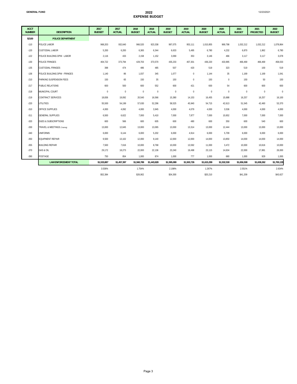| <b>ACCT</b><br><b>NUMBER</b> | <b>DESCRIPTION</b>              | 2017<br><b>BUDGET</b> | 2017<br><b>ACTUAL</b> | 2018<br><b>BUDGET</b> | 2018<br><b>ACTUAL</b> | 2019<br><b>BUDGET</b> | 2019<br><b>ACTUAL</b> | 2020<br><b>BUDGET</b> | 2020<br><b>ACTUAL</b> | 2021<br><b>BUDGET</b> | 2021<br><b>PROJECTED</b> | 2022<br><b>BUDGET</b> |
|------------------------------|---------------------------------|-----------------------|-----------------------|-----------------------|-----------------------|-----------------------|-----------------------|-----------------------|-----------------------|-----------------------|--------------------------|-----------------------|
| 52100                        | <b>POLICE DEPARTMENT</b>        |                       |                       |                       |                       |                       |                       |                       |                       |                       |                          |                       |
| $-110$                       | POLICE LABOR                    | 968,203               | 932,640               | 966,520               | 923,338               | 997.075               | 953,111               | 1,015,855             | 969,798               | 1,032,212             | 1,032,212                | 1,078,864             |
| $-120$                       | <b>CUSTODIAL LABOR</b>          | 5,200                 | 6,200                 | 6,365                 | 6,344                 | 6,633                 | 5,495                 | 6,780                 | 4,232                 | 6,870                 | 1,862                    | 6,780                 |
| $-122$                       | POLICE BUILDING DPW - LABOR     | 2,116                 | 433                   | 2,158                 | 1,152                 | 3,069                 | 353                   | 3,146                 | 466                   | 3,117                 | 3,117                    | 3,078                 |
| $-130$                       | POLICE FRINGES                  | 404,722               | 373,794               | 429,703               | 373,570               | 435,233               | 407,301               | 436,220               | 433,995               | 466,469               | 466,469                  | 458,033               |
| $-135$                       | <b>CUSTODIAL FRINGES</b>        | 398                   | 474                   | 486                   | 485                   | 507                   | 420                   | 519                   | 323                   | 519                   | 100                      | 519                   |
| $-136$                       | POLICE BUILDING DPW - FRINGES   | 1,140                 | 86                    | 1,037                 | 345                   | 1.077                 | $\mathbf{0}$          | 1.144                 | 35                    | 1,169                 | 1.169                    | 1,041                 |
| $-210$                       | PARKING SUSPENSION FEES         | 150                   | 65                    | 150                   | 35                    | 150                   | $\mathbf{0}$          | 150                   | $\mathbf{0}$          | 150                   | 50                       | 150                   |
| $-217$                       | PUBLIC RELATIONS                | 600                   | 500                   | 600                   | 552                   | 600                   | 421                   | 600                   | 54                    | 600                   | 600                      | 600                   |
| $-218$                       | MUNICIPAL COURT                 | $\mathbf{0}$          | $\mathbf 0$           | $\mathbf{0}$          | $\mathbf{0}$          | $\mathbf{0}$          | $\mathbf{0}$          | $\mathbf{0}$          | $\mathbf{0}$          | $\mathbf{0}$          | $\mathbf{0}$             | $\mathbf{0}$          |
| $-219$                       | CONTRACT SERVICES               | 18,836                | 19,092                | 20,540                | 16,566                | 15,380                | 14,153                | 16,455                | 15,688                | 16,257                | 16,257                   | 16,100                |
| $-220$                       | UTILITIES                       | 55,500                | 54,199                | 57,630                | 52,296                | 58,525                | 45,940                | 54,715                | 42,613                | 51,545                | 42,460                   | 53,370                |
| $-310$                       | OFFICE SUPPLIES                 | 4,000                 | 4,092                 | 4,000                 | 3,945                 | 4,000                 | 4,079                 | 4,000                 | 3,536                 | 4,000                 | 4,000                    | 4,000                 |
| $-311$                       | <b>GENERAL SUPPLIES</b>         | 6,500                 | 6,622                 | 7,000                 | 5,410                 | 7,000                 | 7,877                 | 7,000                 | 10,652                | 7,000                 | 7,000                    | 7,000                 |
| $-320$                       | <b>DUES &amp; SUBSCRIPTIONS</b> | 600                   | 566                   | 600                   | 605                   | 600                   | 480                   | 600                   | 350                   | 600                   | 540                      | 600                   |
| $-330$                       | TRAVEL & MEETINGS (Training)    | 13,000                | 12,645                | 13,000                | 13,065                | 13,000                | 13,314                | 13,000                | 12,444                | 13,000                | 13,000                   | 13,000                |
| $-340$                       | <b>UNIFORMS</b>                 | 6,000                 | 6,144                 | 6,000                 | 5,202                 | 6,000                 | 4,914                 | 6,000                 | 5,709                 | 6,000                 | 6,000                    | 6,000                 |
| $-350$                       | EQUIPMENT REPAIR                | 9,500                 | 13,102                | 12,000                | 9,140                 | 12,000                | 12,000                | 14,000                | 13,850                | 14,000                | 14,000                   | 14,000                |
| $-355$                       | <b>BUILDING REPAIR</b>          | 7,500                 | 7,616                 | 10.000                | 8,768                 | 10.000                | 13,592                | 11,000                | 3,472                 | 10,000                | 10.616                   | 10,000                |
| $-370$                       | <b>GAS &amp; OIL</b>            | 29,172                | 18,273                | 22,000                | 22,136                | 23,240                | 19,498                | 23,115                | 14,634                | 22,000                | 17,881                   | 26,000                |
| $-390$                       | POSTAGE                         | 750                   | 854                   | 1,000                 | 874                   | 1,000                 | 777                   | 1,000                 | 680                   | 1,000                 | 929                      | 1,000                 |
|                              | <b>LAW ENFORCEMENT TOTAL</b>    | \$1,533,887           | \$1,457,397           | \$1,560,789           | \$1,443,828           | \$1,595,089           | \$1,503,726           | \$1,615,299           | \$1,532,530           | \$1,656,508           | \$1,638,262              | \$1,700,135           |
|                              |                                 | 3.536%                |                       | 1.754%                |                       | 2.198%                |                       | 1.267%                |                       | 2.551%                |                          | 2.634%                |
|                              |                                 | \$52,384              |                       | \$26,902              |                       | \$34,300              |                       | \$20,210              |                       | \$41,209              |                          | \$43,627              |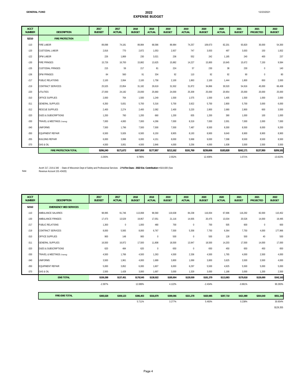| <b>ACCT</b><br><b>NUMBER</b> | <b>DESCRIPTION</b>              | 2017<br><b>BUDGET</b> | 2017<br><b>ACTUAL</b> | 2018<br><b>BUDGET</b> | 2018<br><b>ACTUAL</b> | 2019<br><b>BUDGET</b> | 2019<br><b>ACTUAL</b> | 2020<br><b>BUDGET</b> | 2020<br><b>ACTUAL</b> | 2021<br><b>BUDGET</b> | 2021<br><b>PROJECTED</b> | 2022<br><b>BUDGET</b> |
|------------------------------|---------------------------------|-----------------------|-----------------------|-----------------------|-----------------------|-----------------------|-----------------------|-----------------------|-----------------------|-----------------------|--------------------------|-----------------------|
| 52210                        | <b>FIRE PROTECTION</b>          |                       |                       |                       |                       |                       |                       |                       |                       |                       |                          |                       |
| $-110$                       | <b>FIRE LABOR</b>               | 89,098                | 74,181                | 89,984                | 68,586                | 89,984                | 74,257                | 109,673               | 82,201                | 93,820                | 30,000                   | 54,300                |
| $-120$                       | CUSTODIAL LABOR                 | 2,816                 | 770                   | 2,872                 | 1,053                 | 2,937                 | 747                   | 3,003                 | 497                   | 3,003                 | 150                      | 1,832                 |
| $-122$                       | DPW LABOR                       | 226                   | 1,869                 | 230                   | 3,021                 | 236                   | 552                   | 242                   | 1,185                 | 240                   | 400                      | 237                   |
| $-130$                       | <b>FIRE FRINGES</b>             | 15,726                | 16,700                | 15,882                | 13,625                | 15,882                | 14,227                | 15,800                | 10,645                | 15,672                | 7,150                    | 9,584                 |
| $-135$                       | <b>CUSTODIAL FRINGES</b>        | 215                   | 59                    | 217                   | 81                    | 224                   | 57                    | 230                   | 38                    | 230                   | $\bf 0$                  | 140                   |
| $-136$                       | <b>DPW FRINGES</b>              | 84                    | 560                   | 91                    | 334                   | 92                    | 110                   | 92                    | 92                    | 90                    | $\bf 0$                  | 80                    |
| $-217$                       | PUBLIC RELATIONS                | 2,100                 | 2,064                 | 2,100                 | 1,758                 | 2,100                 | 1,863                 | 2,100                 | 1,444                 | 1,800                 | 650                      | 2,000                 |
| $-219$                       | CONTRACT SERVICES               | 25,525                | 22,854                | 31,182                | 29,619                | 31,502                | 31,872                | 34,866                | 30,520                | 54,916                | 45,000                   | 66,408                |
| $-220$                       | <b>UTILITIES</b>                | 27,000                | 24,182                | 23,000                | 25,660                | 24,000                | 25,309                | 25,000                | 20,954                | 25,000                | 20.000                   | 25,000                |
| $-310$                       | OFFICE SUPPLIES                 | 2,000                 | 764                   | 1,500                 | 1,249                 | 1,500                 | 1,575                 | 1,500                 | 1,405                 | 1,500                 | 1.000                    | 2,000                 |
| $-311$                       | <b>GENERAL SUPPLIES</b>         | 6,350                 | 5,831                 | 5,700                 | 5,316                 | 5,700                 | 3,922                 | 5,700                 | 2,800                 | 5,700                 | 3,000                    | 6,000                 |
| $-312$                       | RESCUE SUPPLIES                 | 2,400                 | 2,274                 | 2,400                 | 2,082                 | 2,400                 | 3,220                 | 2,800                 | 2,680                 | 2,800                 | 600                      | 3,500                 |
| $-320$                       | <b>DUES &amp; SUBSCRIPTIONS</b> | 1,200                 | 760                   | 1,200                 | 660                   | 1,200                 | 835                   | 1,200                 | 390                   | 1,000                 | 100                      | 1,000                 |
| $-330$                       | TRAVEL & MEETINGS (Training)    | 7,000                 | 4,083                 | 7,000                 | 4,266                 | 7,000                 | 8,319                 | 7,000                 | 2,001                 | 7,000                 | 2,000                    | 7,000                 |
| $-340$                       | <b>UNIFORMS</b>                 | 7,500                 | 1,796                 | 7,500                 | 7,500                 | 7,500                 | 7,487                 | 8,500                 | 8,300                 | 8,500                 | 8.000                    | 9,200                 |
| $-350$                       | <b>EQUIPMENT REPAIR</b>         | 6,500                 | 5,926                 | 6,500                 | 6,150                 | 8.905                 | 8.193                 | 8.900                 | 9.640                 | 8.900                 | 8.900                    | 8,900                 |
| $-355$                       | <b>BUILDING REPAIR</b>          | 6,000                 | 3.998                 | 6,000                 | 4,151                 | 8,000                 | 5,968                 | 9,000                 | 7,398                 | 8,500                 | 8.500                    | 8,500                 |
| $-370$                       | GAS & OIL                       | 4,500                 | 3.001                 | 4,500                 | 2.846                 | 4,000                 | 3,256                 | 4,000                 | 1,638                 | 3,500                 | 2.500                    | 3,500                 |
|                              | <b>FIRE PROTECTION TOTAL</b>    | \$206,240             | \$171,672             | \$207,858             | \$177,957             | \$213,162             | \$191,769             | \$239,606             | \$183,828             | \$242,171             | \$137,950                | \$209,181             |
|                              |                                 | $-3.293%$             |                       | 0.785%                |                       | 2.552%                |                       | 12.406%               |                       | 1.071%                |                          | $-13.623%$            |

```
Note:
```
Acct# 217, 219 & 340 - State of Wisconsin Dept of Safety and Professional Services - **2 % Fire Dues - 2022 Est. Contribution =** \$19,600 (See Revenue Account 101-43420)

**ACCT NESCRIPTION 2017 BUDGET 2017 ACTUAL 2018 BUDGET 2018 ACTUAL 2019 BUDGET 2019 ACTUAL 2020 BUDGET 2020 ACTUAL 2021 BUDGET 2021 PROJECTED BUDGET 52310 EMERGENCY MED SERVICES** -110 AMBULANCE SALARIES 98,995 91,746 113,068 96,560 119,638 84,238 116,004 67,696 116,292 82,000 110,452 -130 AMBULANCE FRINGES 17,473 13,529 19,957 17,051 21,116 14,935 20,475 13,034 20,526 14,000 19,495 -217 PUBLIC RELATIONS 1,300 0 1,000 480 700 700 505 600 00 600 -219 CONTRACT SERVICES 8,000 5,565 8,000 6,767 7,500 5,358 7,750 6,364 7,750 4,000 177,966 -310 OFFICE SUPPLIES 900 148 900 0 500 0 500 128 500 40 500 -311 GENERAL SUPPLIES 16,500 16,972 17,500 11,808 18,500 13,947 18,500 14,203 17,500 14,000 17,000 -320 DUES & SUBSCRIPTIONS 620 484 620 0 650 0 650 450 650 450 650 -330 TRAVEL & MEETINGS (Training) 4,500 1,766 4,500 1,263 4,500 2,336 4,500 1,765 4,000 2,500 4,000 -340 UNIFORMS 3,500 1,961 4,000 1,689 3,800 1,069 3,800 3,625 3,500 3,500 4,000 -350 EQUIPMENT REPAIR 5,000 3,852 6,000 1,607 6,000 6,297 5,500 4,925 5,500 5,000 5,000 -370 GAS & OIL 2,500 1,428 3,000 1,697 3,000 1,329 3,000 1,188 3,000 1,200 2,500 **EMS TOTAL \$159,288 \$137,451 \$178,545 \$138,922 \$185,904 \$129,509 \$181,379 \$113,883 \$179,818 \$126,690 \$342,163** -2.397% 12.089% 4.122% -2.434% -0.861% 90.283% **\$365,528 \$309,123 \$386,403 \$316,879 \$399,066 \$321,278 \$420,985 \$297,710 \$421,989 \$264,640 \$551,344 FIRE-EMS TOTAL**

5.711% 3.277% 5.493% 0.238% 30.654%

\$129,355

 **2022**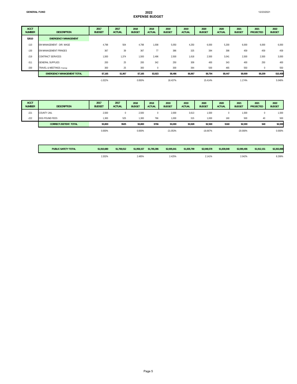12/23/2021

| <b>ACCT</b><br><b>NUMBER</b> | <b>DESCRIPTION</b>                | 2017<br><b>BUDGET</b> | 2017<br><b>ACTUAL</b> | 2018<br><b>BUDGET</b> | 2018<br><b>ACTUAL</b> | 2019<br><b>BUDGET</b> | 2019<br><b>ACTUAL</b> | 2020<br><b>BUDGET</b> | 2020<br><b>ACTUAL</b> | 2021<br><b>BUDGET</b> | 2021<br><b>PROJECTED</b> | 2022<br><b>BUDGET</b> |
|------------------------------|-----------------------------------|-----------------------|-----------------------|-----------------------|-----------------------|-----------------------|-----------------------|-----------------------|-----------------------|-----------------------|--------------------------|-----------------------|
| 52610                        | <b>EMERGENCY MANAGEMENT</b>       |                       |                       |                       |                       |                       |                       |                       |                       |                       |                          |                       |
| $-110$                       | EM MANAGEMENT - DIR. WAGE         | 4.798                 | 504                   | 4,798                 | 1,008                 | 5,050                 | 4,250                 | 6,000                 | 5,200                 | 6,000                 | 6,000                    | 6,000                 |
| $-130$                       | EM MANAGEMENT FRINGES             | 367                   | 39                    | 367                   | 77                    | 386                   | 325                   | 394                   | 398                   | 459                   | 459                      | 459                   |
| $-219$                       | CONTRACT SERVICES                 | 1,500                 | 1,374                 | 1,500                 | 2,496                 | 2,500                 | 1,618                 | 2,500                 | 3,041                 | 2,500                 | 2,500                    | 3,000                 |
| $-311$                       | <b>GENERAL SUPPLIES</b>           | 200                   | 25                    | 200                   | 342                   | 250                   | 309                   | 400                   | 343                   | 400                   | 250                      | 400                   |
| $-330$                       | TRAVEL & MEETINGS (Training)      | 300                   | 25                    | 300                   | $\mathbf{0}$          | 300                   | 364                   | 500                   | 465                   | 550                   | $\mathbf 0$              | 550                   |
|                              | <b>EMERGENCY MANAGEMENT TOTAL</b> | \$7,165               | \$1,967               | \$7,165               | \$3,923               | \$8,486               | \$6,867               | \$9,794               | \$9,447               | \$9,909               | \$9,209                  | \$10,409              |
|                              |                                   | $-1.022%$             |                       | 0.000%                |                       | 18.437%               |                       | 15.414%               |                       | 1.174%                |                          | 5.046%                |

| <b>ACCT</b><br><b>NUMBER</b> | <b>DESCRIPTION</b>            | 2017<br><b>BUDGET</b> | 2017<br><b>ACTUAL</b> | 2018<br><b>BUDGET</b> | 2018<br><b>ACTUAL</b> | 2019<br><b>BUDGET</b> | 2019<br><b>ACTUAL</b> | 2020<br><b>BUDGET</b> | 2020<br><b>ACTUAL</b> | 2021<br><b>BUDGET</b> | 2021<br><b>PROJECTED</b> | 2022<br><b>BUDGET</b> |
|------------------------------|-------------------------------|-----------------------|-----------------------|-----------------------|-----------------------|-----------------------|-----------------------|-----------------------|-----------------------|-----------------------|--------------------------|-----------------------|
| $-221$                       | <b>COUNTY JAIL</b>            | 2,500                 |                       | 2,500                 |                       | 2,000                 | 3,613                 | 1,500                 |                       | 1,500                 |                          | 1,500                 |
| $-222$                       | DOG POUND FEES                | 1,300                 | 525                   | 1,300                 | 766                   | 1,000                 | 315                   | 1,000                 | 160                   | 500                   | 40                       | 500                   |
|                              | <b>CORRECT./DETENT. TOTAL</b> | \$3,800               | \$525                 | \$3,800               | \$766                 | \$3,000               | \$3,928               | \$2,500               | \$160                 | \$2,000               | \$40                     | \$2,000               |
|                              |                               | 0.000%                |                       | 0.000%                |                       | $-21.053%$            |                       | $-16.667%$            |                       | $-20.000\%$           |                          | 0.000%                |

| <b>PUBLIC SAFETY TOTAL</b> | \$1.910.680 | \$1.769.012 | \$1,958,157 | \$1,765,396 | \$2,005.641 | \$1,835,799 | \$2,048,578 | \$1,839,848 | \$2.090.406 | \$1,912.151 | \$2,263,888 |
|----------------------------|-------------|-------------|-------------|-------------|-------------|-------------|-------------|-------------|-------------|-------------|-------------|
|                            | 2.202%      |             | 2.485%      |             | 2.425%      |             | 141%        |             | 2.042%      |             | 8.299%      |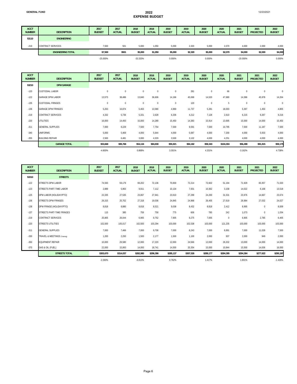12/23/2021

| <b>ACCT</b><br><b>NUMBER</b> | <b>DESCRIPTION</b>       | 2017<br><b>BUDGET</b> | 2017<br><b>ACTUAL</b> | 2018<br><b>BUDGET</b> | 2018<br><b>ACTUAL</b> | 2019<br><b>BUDGET</b> | 2019<br><b>ACTUAL</b> | 2020<br><b>BUDGET</b> | 2020<br><b>ACTUAL</b> | 2021<br><b>BUDGET</b> | 2021<br><b>PROJECTED</b> | 2022<br><b>BUDGET</b> |
|------------------------------|--------------------------|-----------------------|-----------------------|-----------------------|-----------------------|-----------------------|-----------------------|-----------------------|-----------------------|-----------------------|--------------------------|-----------------------|
| 53110                        | <b>ENGINEERING</b>       |                       |                       |                       |                       |                       |                       |                       |                       |                       |                          |                       |
| $-219$                       | <b>CONTRACT SERVICES</b> | 7,500                 | 501                   | 5,000                 | 1,050                 | 5.000                 | 2,320                 | 5,000                 | 2,070                 | 4,000                 | 2,000                    | 4,000                 |
|                              | <b>ENGINEERING TOTAL</b> | \$7,500               | \$501                 | \$5,000               | \$1,050               | \$5,000               | \$2,320               | \$5,000               | \$2,070               | \$4,000               | \$2,000                  | \$4,000               |
|                              |                          | $-25.000\%$           |                       | -33.333%              |                       | 0.000%                |                       | 0.000%                |                       | $-20.000\%$           |                          | 0.000%                |

| <b>ACCT</b><br><b>NUMBER</b> | <b>DESCRIPTION</b>        | 2017<br><b>BUDGET</b> | 2017<br><b>ACTUAL</b> | 2018<br><b>BUDGET</b> | 2018<br><b>ACTUAL</b> | 2019<br><b>BUDGET</b> | 2019<br><b>ACTUAL</b> | 2020<br><b>BUDGET</b> | 2020<br><b>ACTUAL</b> | 2021<br><b>BUDGET</b> | 2021<br><b>PROJECTED</b> | 2022<br><b>BUDGET</b> |
|------------------------------|---------------------------|-----------------------|-----------------------|-----------------------|-----------------------|-----------------------|-----------------------|-----------------------|-----------------------|-----------------------|--------------------------|-----------------------|
| 53210                        | <b>DPW GARAGE</b>         |                       |                       |                       |                       |                       |                       |                       |                       |                       |                          |                       |
| $-120$                       | <b>CUSTODIAL LABOR</b>    | $\bf{0}$              | $\mathbf{0}$          | $\mathbf{0}$          | $\mathbf{0}$          | $\mathbf 0$           | 281                   | $\mathbf 0$           | 66                    | $\mathbf{0}$          | $\mathbf 0$              | $\mathbf{0}$          |
| $-122$                       | <b>GARAGE DPW LABOR</b>   | 13,573                | 38,486                | 13,840                | 36,606                | 14,166                | 45,068                | 14,520                | 47,680                | 14,386                | 45,978                   | 14,204                |
| $-135$                       | <b>CUSTODIAL FRINGES</b>  | $\bf{0}$              | $\mathbf{0}$          | $\mathbf 0$           | $\mathbf{0}$          | $\mathbf 0$           | 120                   | $\mathbf 0$           | 5                     | $\mathbf{0}$          | $\mathbf 0$              | $\mathbf{0}$          |
| $-136$                       | <b>GARAGE DPW FRINGES</b> | 5,263                 | 16,874                | 5,463                 | 13,580                | 4,969                 | 11,737                | 5,281                 | 18,003                | 5,397                 | 1,450                    | 4,805                 |
| $-219$                       | CONTRACT SERVICES         | 4,332                 | 5,736                 | 5,331                 | 2,628                 | 6,336                 | 4,212                 | 7,128                 | 2,610                 | 6,215                 | 9,267                    | 9,216                 |
| $-220$                       | <b>UTILITIES</b>          | 16,000                | 14,493                | 15,000                | 14,289                | 15,450                | 14,383                | 15,914                | 13,695                | 15,000                | 14,000                   | 15,450                |
| $-311$                       | <b>GENERAL SUPPLIES</b>   | 7,000                 | 8,229                 | 7,500                 | 7,754                 | 7,500                 | 9,591                 | 7,500                 | 10,795                | 7,500                 | 11,187                   | 7,500                 |
| $-340$                       | <b>UNIFORMS</b>           | 5,000                 | 5,469                 | 4,000                 | 5,644                 | 4,000                 | 5,687                 | 4,000                 | 7,200                 | 4,000                 | 5,933                    | 4,000                 |
| $-355$                       | <b>BUILDING REPAIR</b>    | 2,500                 | 6,481                 | 3,000                 | 4,329                 | 3,500                 | 3,102                 | 4,000                 | 4,251                 | 4,000                 | 4,000                    | 4,000                 |
|                              | <b>GARAGE TOTAL</b>       | \$53,668              | \$95,768              | \$54,134              | \$84,830              | \$55,921              | \$94,182              | \$58,343              | \$104,304             | \$56,498              | \$91,815                 | \$59,175              |
|                              |                           | $-4.600%$             |                       | 0.868%                |                       | 3.301%                |                       | 4.331%                |                       | $-3.162%$             |                          | 4.738%                |

| <b>ACCT</b><br><b>NUMBER</b> | <b>DESCRIPTION</b>           | 2017<br><b>BUDGET</b> | 2017<br><b>ACTUAL</b> | 2018<br><b>BUDGET</b> | 2018<br><b>ACTUAL</b> | 2019<br><b>BUDGET</b> | 2019<br><b>ACTUAL</b> | 2020<br><b>BUDGET</b> | 2020<br><b>ACTUAL</b> | 2021<br><b>BUDGET</b> | 2021<br><b>PROJECTED</b> | 2022<br><b>BUDGET</b> |
|------------------------------|------------------------------|-----------------------|-----------------------|-----------------------|-----------------------|-----------------------|-----------------------|-----------------------|-----------------------|-----------------------|--------------------------|-----------------------|
| 53310                        | <b>STREETS</b>               |                       |                       |                       |                       |                       |                       |                       |                       |                       |                          |                       |
| $-122$                       | <b>STREETS DPW LABOR</b>     | 74,593                | 59.179                | 69,202                | 72,136                | 70,830                | 72,214                | 72,602                | 51,194                | 71,929                | 83,357                   | 71,020                |
| $-123$                       | STREETS PART-TIME LABOR      | 2,889                 | 5.963                 | 9.911                 | 7.112                 | 10,134                | 7,931                 | 10,362                | 3,158                 | 14,022                | 6,168                    | 13,518                |
| $-125$                       | DPW LABOR (HOLIDAY/PTO)      | 22,335                | 27,535                | 23,067                | 27.941                | 23.610                | 27,299                | 24,200                | 31,531                | 23,976                | 14.667                   | 23,674                |
| $-136$                       | <b>STREETS DPW FRINGES</b>   | 26,315                | 25,702                | 27,318                | 19,036                | 24,845                | 24,968                | 26,405                | 27,619                | 26,984                | 27,032                   | 24,027                |
| $-138$                       | DPW FRINGE (HOLIDAY/PTO)     | 8,818                 | 8,880                 | 8,818                 | 8,521                 | 9,038                 | 8,432                 | 8,818                 | 2,412                 | 8,995                 | $\mathbf{0}$             | 8,009                 |
| $-137$                       | STREETS PART-TIME FRINGES    | 115                   | 385                   | 759                   | 758                   | 775                   | 606                   | 785                   | 242                   | 1,073                 | $\mathbf{0}$             | 1,034                 |
| $-219$                       | CONTRACT SERVICES            | 25,905                | 26,044                | 6,905                 | 9,752                 | 7,905                 | 9,275                 | 7,005                 | $\mathbf{0}$          | 6,905                 | 2,785                    | 6,405                 |
| $-220$                       | <b>STREETS UTILITIES</b>     | 102,500               | 105,017               | 102,500               | 103.294               | 103.000               | 102,538               | 103,000               | 121,235               | 103,000               | 103,000                  | 103,000               |
| $-311$                       | <b>GENERAL SUPPLIES</b>      | 7,000                 | 7.466                 | 7,000                 | 9,708                 | 7,000                 | 8,243                 | 7,000                 | 8,891                 | 7,000                 | 11,028                   | 7,500                 |
| $-330$                       | TRAVEL & MEETINGS (Training) | 1,200                 | 2,293                 | 1,500                 | 2,177                 | 1,500                 | 1,100                 | 2,000                 | 937                   | 2,000                 | 949                      | 2,000                 |
| $-350$                       | <b>EQUIPMENT REPAIR</b>      | 10.000                | 29,580                | 12.000                | 17,220                | 12.000                | 24.566                | 12,000                | 26,332                | 13,000                | 14.000                   | 14,000                |
| $-370$                       | GAS & OIL (FUEL)             | 22,000                | 15,993                | 14,000                | 18,741                | 14,500                | 20,354                | 15,000                | 10,844                | 15,500                | 14,636                   | 16,000                |
|                              | <b>STREETS TOTAL</b>         | \$303,670             | \$314,037             | \$282,980             | \$296,396             | \$285,137             | \$307,526             | \$289,177             | \$284,395             | \$294,384             | \$277,622                | \$290,187             |
|                              |                              | $-2.260%$             |                       | $-6.813%$             |                       | 0.762%                |                       | 1.417%                |                       | 1.801%                |                          | $-1.426%$             |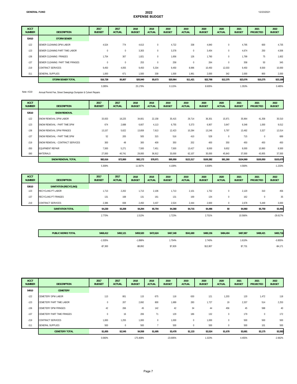| <b>ACCT</b><br><b>NUMBER</b> | <b>DESCRIPTION</b>               | 2017<br><b>BUDGET</b> | 2017<br><b>ACTUAL</b> | 2018<br><b>BUDGET</b> | 2018<br><b>ACTUAL</b> | 2019<br><b>BUDGET</b> | 2019<br><b>ACTUAL</b> | 2020<br><b>BUDGET</b> | 2020<br><b>ACTUAL</b> | 2021<br><b>BUDGET</b> | 2021<br><b>PROJECTED</b> | 2022<br><b>BUDGET</b> |
|------------------------------|----------------------------------|-----------------------|-----------------------|-----------------------|-----------------------|-----------------------|-----------------------|-----------------------|-----------------------|-----------------------|--------------------------|-----------------------|
| 53410                        | <b>STORM SEWER</b>               |                       |                       |                       |                       |                       |                       |                       |                       |                       |                          |                       |
| $-122$                       | SEWER CLEANING DPW LABOR         | 4,524                 | 774                   | 4,613                 | $\mathbf{0}$          | 4,722                 | 338                   | 4,840                 | 0                     | 4,795                 | 600                      | 4,735                 |
| $-123$                       | SEWER CLEANING PART TIME LABOR   | $\pmb{0}$             | $\mathbf{0}$          | 3,303                 | $\mathbf{0}$          | 3,378                 | $\mathbf{0}$          | 3,454                 |                       | 4,674                 | 250                      | 4,506                 |
| $-136$                       | SEWER CLEANING FRINGES           | 1,754                 | 307                   | 1,821                 | $\mathbf{0}$          | 1,656                 | 126                   | 1,760                 | 0                     | 1,799                 | 75                       | 1,602                 |
| $-137$                       | SEWER CLEANING PART TIME FRINGES | $\pmb{0}$             | $\mathbf{0}$          | 253                   | $\mathbf 0$           | 258                   | $\mathbf{0}$          | 264                   | $\bf{0}$              | 358                   | 50                       | 345                   |
| $-219$                       | <b>CONTRACT SERVICES</b>         | 9,450                 | 4,055                 | 9,450                 | 5,334                 | 9,450                 | 8,996                 | 10,450                | 12,033                | 9,450                 | 8,500                    | 10,000                |
| $-311$                       | <b>GENERAL SUPPLIES</b>          | 1,000                 | 671                   | 1,500                 | 339                   | 1,500                 | 1,961                 | 2,000                 | 342                   | 2,000                 | 800                      | 2,000                 |
|                              | <b>STORM SEWER TOTAL</b>         | \$16,728              | \$5,807               | \$20,940              | \$5,673               | \$20,964              | \$11,421              | \$22,768              | \$12,375              | \$23,076              | \$10,275                 | \$23,188              |
|                              |                                  | 3.285%                |                       | 25.179%               |                       | 0.115%                |                       | 8.605%                |                       | 1.353%                |                          | 0.485%                |

Note: #219 Annual Permit Fee, Street Sweepings Dumpster & Culvert Repairs

| <b>ACCT</b><br><b>NUMBER</b> | <b>DESCRIPTION</b>               | 2017<br><b>BUDGET</b> | 2017<br><b>ACTUAL</b> | 2018<br><b>BUDGET</b> | 2018<br><b>ACTUAL</b> | 2019<br><b>BUDGET</b> | 2019<br><b>ACTUAL</b> | 2020<br><b>BUDGET</b> | 2020<br><b>ACTUAL</b> | 2021<br><b>BUDGET</b> | 2021<br><b>PROJECTED</b> | 2022<br><b>BUDGET</b> |
|------------------------------|----------------------------------|-----------------------|-----------------------|-----------------------|-----------------------|-----------------------|-----------------------|-----------------------|-----------------------|-----------------------|--------------------------|-----------------------|
| 53510                        | <b>SNOW REMOVAL</b>              |                       |                       |                       |                       |                       |                       |                       |                       |                       |                          |                       |
| $-122$                       | SNOW REMOVAL DPW LABOR           | 33,933                | 18,225                | 34,601                | 22,158                | 35,415                | 29,714                | 36,301                | 15,971                | 35,964                | 41,358                   | 35,510                |
| $-123$                       | SNOW REMOVAL - PART TIME DPW     | 674                   | 2,688                 | 6,607                 | 4,113                 | 6,755                 | 5,373                 | 6,907                 | 3,647                 | 9,348                 | 1,000                    | 9,012                 |
| $-136$                       | SNOW REMOVAL DPW FRINGES         | 13,157                | 5,622                 | 13,659                | 7,613                 | 12,423                | 10,284                | 13,246                | 5,797                 | 13,492                | 3,327                    | 12,014                |
| $-137$                       | SNOW REMOVAL - PART TIME DPW     | 52                    | 205                   | 505                   | 315                   | 516                   | 410                   | 528                   | $\Omega$              | 715                   | $\mathbf 0$              | 689                   |
| $-219$                       | SNOW REMOVAL - CONTRACT SERVICES | 300                   | 48                    | 300                   | 409                   | 350                   | 202                   | 400                   | 350                   | 450                   | 450                      | 450                   |
| $-350$                       | <b>EQUIPMENT REPAIR</b>          | 7,500                 | 5,271                 | 7,500                 | 7,451                 | 7,500                 | 13,427                | 8,000                 | 9,652                 | 8,000                 | 10,860                   | 8,500                 |
| $-360$                       | <b>MATERIALS</b>                 | 27,000                | 40,741                | 29,000                | 36,912                | 33,000                | 62,107                | 35,000                | 45,843                | 37,000                | 43,955                   | 37,500                |
|                              | <b>SNOW REMOVAL TOTAL</b>        | \$82,616              | \$72,800              | \$92,172              | \$78,971              | \$95,959              | \$121,517             | \$100,382             | \$81,260              | \$104,969             | \$100,950                | \$103,675             |
|                              |                                  | 5.309%                |                       | 11.567%               |                       | 4.109%                |                       | 4.609%                |                       | 4.569%                |                          | $-1.233%$             |

| <b>ACCT</b><br><b>NUMBER</b> | <b>DESCRIPTION</b>            | 2017<br><b>BUDGET</b> | 2017<br><b>ACTUAL</b> | 2018<br><b>BUDGET</b> | 2018<br><b>ACTUAL</b> | 2019<br><b>BUDGET</b> | 2019<br><b>ACTUAL</b> | 2020<br><b>BUDGET</b> | 2020<br><b>ACTUAL</b> | 2021<br><b>BUDGET</b> | 2021<br><b>PROJECTED</b> | 2022<br><b>BUDGET</b> |
|------------------------------|-------------------------------|-----------------------|-----------------------|-----------------------|-----------------------|-----------------------|-----------------------|-----------------------|-----------------------|-----------------------|--------------------------|-----------------------|
| 53610                        | <b>SANITATION (RECYCLING)</b> |                       |                       |                       |                       |                       |                       |                       |                       |                       |                          |                       |
| $-123$                       | RECYCLING PT LABOR            | 1,713                 | 2,202                 | 1,713                 | 2,106                 | 1,713                 | 2,101                 | 1,752                 |                       | 2,120                 | 310                      | 456                   |
| $-137$                       | <b>RECYCLING PT FRINGES</b>   | 131                   | 168                   | 131                   | 161                   | 131                   | 169                   | 134                   | $\Omega$              | 162                   | $^{\circ}$               | 35                    |
| $-219$                       | <b>CONTRACT SERVICES</b>      | 2,386                 | 838                   | 2,450                 | 3,437                 | 2,524                 | 2,444                 | 2,600                 |                       | 2,678                 | 5,449                    | 3,000                 |
|                              | <b>SANITATION TOTAL</b>       | \$4,230               | \$3,208               | \$4,294               | \$5,704               | \$4,368               | \$4,715               | \$4,486               | \$0                   | \$4,960               | \$5,759                  | \$3,491               |
|                              |                               | 2.770%                |                       | 1.513%                |                       | 1.723%                |                       | 2.701%                |                       | 10.566%               |                          | $-29.617%$            |

| <b>PUBLIC WORKS TOTAL</b> | \$468,412 | \$492.121 | \$459.520   | \$472.624 | \$467.349 | \$541.680 | \$480.156 | \$484,404 | \$487.887 | \$488,421 | \$483,716 |
|---------------------------|-----------|-----------|-------------|-----------|-----------|-----------|-----------|-----------|-----------|-----------|-----------|
|                           | $-1.535%$ |           | $-1.898%$   |           | 1.704%    |           | 2.740%    |           | 1.610%    |           | $-0.855%$ |
|                           | $-$7,300$ |           | $-$ \$8,892 |           | \$7,829   |           | \$12,807  |           | \$7,731   |           | $-$4,171$ |

| <b>ACCT</b><br><b>NUMBER</b> | <b>DESCRIPTION</b>          | 2017<br><b>BUDGET</b> | 2017<br><b>ACTUAL</b> | 2018<br><b>BUDGET</b> | 2018<br><b>ACTUAL</b> | 2019<br><b>BUDGET</b> | 2019<br><b>ACTUAL</b> | 2020<br><b>BUDGET</b> | 2020<br><b>ACTUAL</b> | 2021<br><b>BUDGET</b> | 2021<br><b>PROJECTED</b> | 2022<br><b>BUDGET</b> |
|------------------------------|-----------------------------|-----------------------|-----------------------|-----------------------|-----------------------|-----------------------|-----------------------|-----------------------|-----------------------|-----------------------|--------------------------|-----------------------|
| 54910                        | <b>CEMETERY</b>             |                       |                       |                       |                       |                       |                       |                       |                       |                       |                          |                       |
| $-122$                       | CEMETERY DPW LABOR          | 113                   | 801                   | 115                   | 675                   | 118                   | 630                   | 121                   | 1,203                 | 120                   | 1,472                    | 118                   |
| $-123$                       | CEMETERY PART TIME LABOR    | $\mathbf 0$           | 207                   | 2,692                 | 800                   | 1.689                 | 283                   | 1,727                 | 19                    | 2,337                 | 514                      | 2,253                 |
| $-136$                       | <b>CEMETERY DPW FRINGES</b> | 42                    | 266                   | 45                    | 142                   | 42                    | 34                    | 44                    | 456                   | 45                    | 588                      | 40                    |
| $-137$                       | CEMETERY PART TIME FRINGES  | $\mathbf 0$           | 16                    | 206                   | 71                    | 129                   | 186                   | 132                   | 0                     | 179                   | $\mathbf{0}$             | 172                   |
| $-219$                       | <b>CONTRACT SERVICES</b>    | 1,000                 | 1,255                 | 1,000                 | $\mathbf{0}$          | 1,000                 | 0                     | 1,000                 | 0                     | 500                   | 500                      | 500                   |
| $-311$                       | <b>GENERAL SUPPLIES</b>     | 500                   | $\Omega$              | 500                   |                       | 500                   | $\Omega$              | 500                   | 0                     | 500                   | 101                      | 500                   |
|                              | <b>CEMETERY TOTAL</b>       | \$1,655               | \$2,545               | \$4,558               | \$1,695               | \$3,478               | \$1,133               | \$3,524               | \$1,678               | \$3,681               | \$3,175                  | \$3,583               |
|                              |                             | 0.060%                |                       | 175.408%              |                       | $-23.695%$            |                       | 1.323%                |                       | 4.455%                |                          | $-2.662%$             |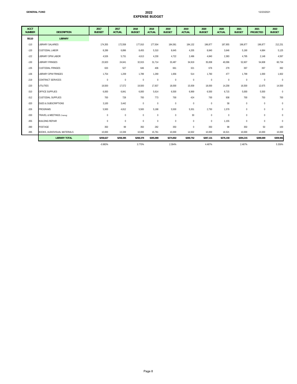12/23/2021

| <b>ACCT</b><br><b>NUMBER</b> | <b>DESCRIPTION</b>              | 2017<br><b>BUDGET</b> | 2017<br><b>ACTUAL</b> | 2018<br><b>BUDGET</b> | 2018<br><b>ACTUAL</b> | 2019<br><b>BUDGET</b> | 2019<br><b>ACTUAL</b> | 2020<br><b>BUDGET</b> | 2020<br><b>ACTUAL</b> | 2021<br><b>BUDGET</b> | 2021<br><b>PROJECTED</b> | 2022<br><b>BUDGET</b> |
|------------------------------|---------------------------------|-----------------------|-----------------------|-----------------------|-----------------------|-----------------------|-----------------------|-----------------------|-----------------------|-----------------------|--------------------------|-----------------------|
| 55110                        | <b>LIBRARY</b>                  |                       |                       |                       |                       |                       |                       |                       |                       |                       |                          |                       |
| $-110$                       | <b>LIBRARY SALARIES</b>         | 174,355               | 172,558               | 177,910               | 177,504               | 184,581               | 184,132               | 196,877               | 187,955               | 196,877               | 196,877                  | 212,231               |
| $-120$                       | <b>CUSTODIAL LABOR</b>          | 8.289                 | 6,896                 | 8,455                 | 5,310                 | 8.645                 | 4,205                 | 8,840                 | 3,646                 | 5,190                 | 4.684                    | 5,125                 |
| $-122$                       | LIBRARY DPW LABOR               | 4,526                 | 5,731                 | 4,613                 | 4,230                 | 4,722                 | 2,496                 | 4,840                 | 2,383                 | 4,795                 | 2,148                    | 4,597                 |
| $-130$                       | <b>LIBRARY FRINGES</b>          | 23,920                | 24,641                | 32,915                | 31,714                | 33,487                | 34,919                | 35,838                | 40,096                | 52,607                | 54,608                   | 60,734                |
| $-135$                       | <b>CUSTODIAL FRINGES</b>        | 633                   | 527                   | 646                   | 406                   | 661                   | 321                   | 676                   | 279                   | 397                   | 397                      | 392                   |
| $-136$                       | <b>LIBRARY DPW FRINGES</b>      | 1,754                 | 1,209                 | 1,789                 | 1,269                 | 1,656                 | 514                   | 1,760                 | 477                   | 1,799                 | 1,000                    | 1,602                 |
| $-219$                       | <b>CONTRACT SERVICES</b>        | $\mathbb O$           | $\mathbf 0$           | $\mathbb O$           | $\mathbf{0}$          | $\mathbb O$           | $\mathbf{0}$          | $\bf 0$               | $\mathbf 0$           | $\mathbb O$           | $\mathbb O$              | $\mathbf 0$           |
| $-220$                       | <b>UTILITIES</b>                | 19,500                | 17,572                | 19,500                | 17,837                | 18,000                | 15,939                | 18,000                | 14,258                | 16,500                | 12,675                   | 14,500                |
| $-310$                       | OFFICE SUPPLIES                 | 6.000                 | 6,841                 | 6,000                 | 5,614                 | 6.500                 | 6.969                 | 6,500                 | 6,715                 | 5,000                 | 5.500                    | $\mathbf{0}$          |
| $-312$                       | <b>CUSTODIAL SUPPLIES</b>       | 700                   | 728                   | 700                   | 773                   | 700                   | 424                   | 700                   | 938                   | 700                   | 750                      | 700                   |
| $-320$                       | <b>DUES &amp; SUBSCRIPTIONS</b> | 3,100                 | 3,442                 | $\bf{0}$              | $\mathbf 0$           | $\mathbf 0$           | $\bf{0}$              | $\bf{0}$              | 58                    | $\mathbf 0$           | $\bf{0}$                 | $\bf{0}$              |
| $-326$                       | <b>PROGRAMS</b>                 | 5.500                 | 4,812                 | 5,500                 | 5,188                 | 5.500                 | 5,301                 | 2,750                 | 1,579                 | $\bf 0$               | $\mathbf 0$              | $\mathbf 0$           |
| $-330$                       | TRAVEL & MEETINGS (Training)    | $\mathbb O$           | $\mathbf{0}$          | $\bf{0}$              | $\mathbf{0}$          | $\mathbf 0$           | 30                    | $\bf{0}$              | $\mathbf 0$           | $\mathbf{0}$          | $\mathbf 0$              | $\mathbf{0}$          |
| $-355$                       | <b>BUILDING REPAIR</b>          | $\mathbf 0$           | $\mathbf 0$           | $\bf 0$               | $\mathbf{0}$          | $\mathbf{0}$          | $\mathbf{0}$          | $\bf{0}$              | 1,155                 | $\mathbf 0$           | 0                        | $\mathbf{0}$          |
| $-390$                       | POSTAGE                         | 350                   | 99                    | 350                   | 282                   | 350                   | $\mathbf{0}$          | 350                   | 98                    | 350                   | 50                       | 100                   |
| $-395$                       | BOOKS, AUDIOVISUAL MATERIALS    | 10,000                | 13,339                | 10,000                | 15,761                | 10,000                | 14,502                | 10,000                | 16,521                | 10,000                | 10,000                   | 10,000                |
|                              | <b>LIBRARY TOTAL</b>            | \$258,627             | \$258,395             | \$268,378             | \$265,888             | \$274,802             | \$269,752             | \$287,131             | \$276,158             | \$294,215             | \$288,689                | \$309,981             |
|                              |                                 | $-0.983%$             |                       | 3.770%                |                       | 2.394%                |                       | 4.487%                |                       | 2.467%                |                          | 5.359%                |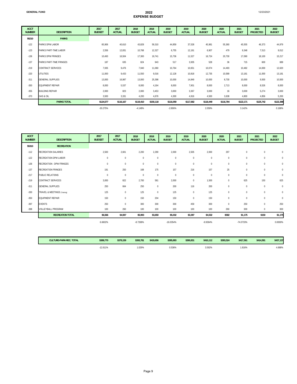| <b>GENERAL FUND</b>          |                          |                       |                       |                       | 2022<br><b>EXPENSE BUDGET</b> |                       |                       |                       |                       |                       | 12/23/2021               |                       |
|------------------------------|--------------------------|-----------------------|-----------------------|-----------------------|-------------------------------|-----------------------|-----------------------|-----------------------|-----------------------|-----------------------|--------------------------|-----------------------|
| <b>ACCT</b><br><b>NUMBER</b> | <b>DESCRIPTION</b>       | 2017<br><b>BUDGET</b> | 2017<br><b>ACTUAL</b> | 2018<br><b>BUDGET</b> | 2018<br><b>ACTUAL</b>         | 2019<br><b>BUDGET</b> | 2019<br><b>ACTUAL</b> | 2020<br><b>BUDGET</b> | 2020<br><b>ACTUAL</b> | 2021<br><b>BUDGET</b> | 2021<br><b>PROJECTED</b> | 2022<br><b>BUDGET</b> |
| 55210                        | <b>PARKS</b>             |                       |                       |                       |                               |                       |                       |                       |                       |                       |                          |                       |
| $-122$                       | <b>PARKS DPW LABOR</b>   | 65,906                | 40,610                | 43,828                | 59,310                        | 44,859                | 37,528                | 45,981                | 55,360                | 45,555                | 46,373                   | 44,979                |
| $-123$                       | PARKS PART-TIME LABOR    | 2,556                 | 12,831                | 10,768                | 12,327                        | 6,755                 | 12,191                | 6,907                 | 479                   | 9,348                 | 7,513                    | 9,012                 |
| $-136$                       | <b>PARKS DPW FRINGES</b> | 10,493                | 16,504                | 17,300                | 19,741                        | 15,736                | 11,527                | 16,724                | 20,730                | 17,090                | 18,100                   | 15,217                |
| $-137$                       | PARKS PART-TIME FRINGES  | 187                   | 635                   | 824                   | 943                           | 517                   | 3,935                 | 528                   | 36                    | 715                   | 600                      | 689                   |
| $-219$                       | <b>CONTRACT SERVICES</b> | 7,935                 | 9,476                 | 7,940                 | 11,060                        | 10,764                | 10,651                | 10,074                | 14,493                | 10,482                | 14,000                   | 12,620                |
| $-220$                       | <b>UTILITIES</b>         | 11,000                | 9,433                 | 11,550                | 9,016                         | 12,128                | 10,818                | 12,735                | 10,589                | 13,181                | 11,000                   | 13,181                |
| $-311$                       | <b>GENERAL SUPPLIES</b>  | 13,000                | 16,987                | 13,000                | 25,398                        | 10,000                | 14.849                | 10,000                | 8,730                 | 10,000                | 9,500                    | 10,500                |
| $-350$                       | <b>EQUIPMENT REPAIR</b>  | 8,000                 | 5,537                 | 8,000                 | 4,194                         | 8,000                 | 7,901                 | 8,000                 | 2,713                 | 8,000                 | 8,526                    | 8,000                 |
| $-355$                       | <b>BUILDING REPAIR</b>   | 2,000                 | 823                   | 2,000                 | 3,453                         | 3,000                 | 3,367                 | 3,000                 | 16                    | 3,000                 | 5.274                    | 3,000                 |
| $-370$                       | <b>GAS &amp; OIL</b>     | 3,500                 | 3,331                 | 4,200                 | 4,676                         | 4,300                 | 4,916                 | 4,500                 | 3,638                 | 4,800                 | 4,856                    | 5,200                 |
|                              | <b>PARKS TOTAL</b>       | \$124,577             | \$116,167             | \$119,410             | \$150,118                     | \$116,059             | \$117,682             | \$118,449             | \$116,784             | \$122,171             | \$125,742                | \$122,398             |

-30.275% -4.148% -2.806% 2.059% 3.142% 0.186%

| <b>ACCT</b><br><b>NUMBER</b> | <b>DESCRIPTION</b>              | 2017<br><b>BUDGET</b> | 2017<br><b>ACTUAL</b> | 2018<br><b>BUDGET</b> | 2018<br><b>ACTUAL</b> | 2019<br><b>BUDGET</b> | 2019<br><b>ACTUAL</b> | 2020<br><b>BUDGET</b> | 2020<br><b>ACTUAL</b> | 2021<br><b>BUDGET</b> | 2021<br><b>PROJECTED</b> | 2022<br><b>BUDGET</b> |
|------------------------------|---------------------------------|-----------------------|-----------------------|-----------------------|-----------------------|-----------------------|-----------------------|-----------------------|-----------------------|-----------------------|--------------------------|-----------------------|
| 55310                        | <b>RECREATION</b>               |                       |                       |                       |                       |                       |                       |                       |                       |                       |                          |                       |
| $-112$                       | <b>RECREATION SALARIES</b>      | 2,500                 | 2,601                 | 2,200                 | 2,290                 | 2,000                 | 2,505                 | 2,000                 | 297                   | $\bf{0}$              | $\bf{0}$                 | $\bf{0}$              |
| $-122$                       | RECREATION DPW LABOR            | $\mathbf 0$           | $\bf 0$               | $\bf{0}$              | $\mathbf{0}$          | $\mathbf{0}$          | $\mathbf{0}$          | $\mathbf{0}$          | $\mathbf 0$           | $\mathbf{0}$          | $\mathbf 0$              | $\mathbf{0}$          |
| $-136$                       | <b>RECREATION - DPW FRINGES</b> | $\mathbf 0$           | $\bf{0}$              | $\bf{0}$              | $\bf 0$               | $\pmb{0}$             | $\pmb{0}$             | $\mathbf 0$           | 0                     | $\bf{0}$              | $\mathbf 0$              | $\bf{0}$              |
| $-137$                       | <b>RECREATION FRINGES</b>       | 191                   | 250                   | 168                   | 175                   | 157                   | 216                   | 157                   | 25                    | $\mathbf{0}$          | $\mathbf 0$              | $\mathbf{0}$          |
| $-217$                       | PUBLIC RELATIONS                | $\mathbf{0}$          | $\bf 0$               | $\bf{0}$              | $\mathbf{0}$          | $\mathbf 0$           | $\mathbf{0}$          | $\mathbf{0}$          | $\mathbf 0$           | $\mathbf{0}$          | $\mathbf 0$              | $\mathbf{0}$          |
| $-219$                       | CONTRACT SERVICES               | 3,000                 | 822                   | 2,700                 | 581                   | 2,000                 | $\mathbf{0}$          | 1,500                 | $\mathbf 0$           | 625                   | 150                      | 625                   |
| $-311$                       | <b>GENERAL SUPPLIES</b>         | 250                   | 664                   | 250                   | $\mathbf{0}$          | 200                   | 116                   | 200                   | $\mathbf 0$           | $\mathbf{0}$          | $\mathbf{0}$             | $\mathbf{0}$          |
| $-330$                       | TRAVEL & MEETINGS (Training)    | 125                   | $\bf 0$               | 125                   | $\mathbf{0}$          | 125                   | $\mathbf{0}$          | 125                   | $\Omega$              | $\mathbf{0}$          | $\mathbf 0$              | $\mathbf{0}$          |
| $-350$                       | EQUIPMENT REPAIR                | 150                   | $\bf 0$               | 150                   | 204                   | 150                   | $\bf{0}$              | 150                   | 0                     | $\bf{0}$              | $\bf 0$                  | $\bf{0}$              |
| $-397$                       | <b>EVENTS</b>                   | 250                   | $\bf{0}$              | 300                   | 300                   | 300                   | 459                   | 300                   | $\mathbf 0$           | 250                   | $\mathbf{0}$             | 250                   |
| $-398$                       | VOLLEYBALL PROGRAM              | 100                   | 260                   | 100                   | 100                   | 100                   | 100                   | 100                   | 260                   | 300                   | $\bf{0}$                 | 300                   |
|                              | <b>RECREATION TOTAL</b>         | \$6,566               | \$4,597               | \$5,993               | \$3,650               | \$5,032               | \$3,397               | \$4,532               | \$582                 | \$1,175               | \$150                    | \$1,175               |
|                              |                                 | 6.6602%               |                       | $-8.7268%$            |                       | $-16.0354%$           |                       | -9.9364%              |                       | -74.0733%             |                          | 0.0000%               |

| <b>CULTURE-PARK-REC. TOTAL</b> | \$389,770  | \$379,159 | \$393.781 | \$419.656 | \$395.893 | \$390,831 | \$410.112 | \$393.524 | \$417.561 | \$414,581 | \$437,137 |
|--------------------------------|------------|-----------|-----------|-----------|-----------|-----------|-----------|-----------|-----------|-----------|-----------|
|                                | $-12.611%$ |           | 1.029%    |           | 0.536%    |           | 3.592%    |           | .816%     |           | 1.688%    |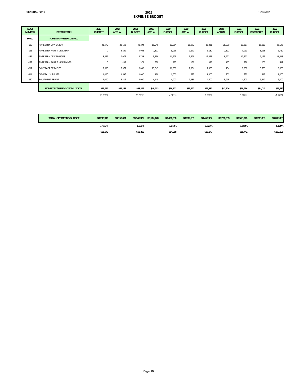#### **GENERAL FUND 2022 EXPENSE BUDGET**

12/23/2021

| <b>ACCT</b><br><b>NUMBER</b> | <b>DESCRIPTION</b>                   | 2017<br><b>BUDGET</b> | 2017<br><b>ACTUAL</b> | 2018<br><b>BUDGET</b> | 2018<br><b>ACTUAL</b> | 2019<br><b>BUDGET</b> | 2019<br><b>ACTUAL</b> | 2020<br><b>BUDGET</b> | 2020<br><b>ACTUAL</b> | 2021<br><b>BUDGET</b> | 2021<br><b>PROJECTED</b> | 2022<br><b>BUDGET</b> |
|------------------------------|--------------------------------------|-----------------------|-----------------------|-----------------------|-----------------------|-----------------------|-----------------------|-----------------------|-----------------------|-----------------------|--------------------------|-----------------------|
| 56000                        | <b>FORESTRY/WEED CONTROL</b>         |                       |                       |                       |                       |                       |                       |                       |                       |                       |                          |                       |
| $-122$                       | <b>FORESTRY DPW LABOR</b>            | 31,670                | 26,158                | 32,294                | 16.948                | 33,054                | 16,570                | 33,881                | 25,070                | 33,567                | 15,533                   | 33,143                |
| $-123$                       | <b>FORESTRY PART TIME LABOR</b>      | 0                     | 5,259                 | 4,955                 | 7,301                 | 5,066                 | 2,172                 | 5,180                 | 2,191                 | 7,011                 | 3,028                    | 6,759                 |
| $-136$                       | <b>FORESTRY DPW FRINGES</b>          | 8,552                 | 9,075                 | 12,748                | 5,736                 | 11,595                | 5,596                 | 12,323                | 8,672                 | 12,592                | 6,125                    | 11,213                |
| $-137$                       | <b>FORESTRY PART TIME FRINGES</b>    | $^{\circ}$            | 402                   | 379                   | 558                   | 387                   | 166                   | 396                   | 167                   | 536                   | 200                      | 517                   |
| $-219$                       | <b>CONTRACT SERVICES</b>             | 7,500                 | 7,379                 | 8,000                 | 13,345                | 11,000                | 7,854                 | 9,000                 | 104                   | 8,000                 | 3,533                    | 8,000                 |
| $-311$                       | <b>GENERAL SUPPLIES</b>              | 1,000                 | 1,596                 | 1,000                 | 166                   | 1,000                 | 683                   | 1,000                 | 202                   | 750                   | 312                      | 1,000                 |
| $-350$                       | <b>EQUIPMENT REPAIR</b>              | 4,000                 | 2,312                 | 4,000                 | 4,149                 | 4,000                 | 2,686                 | 4,500                 | 5,918                 | 4,500                 | 5,312                    | 5,000                 |
|                              | <b>FORESTRY / WEED CONTROL TOTAL</b> | \$52,722              | \$52,181              | \$63,376              | \$48,203              | \$66,102              | \$35,727              | \$66,280              | \$42,324              | \$66,956              | \$34,043                 | \$65,632              |
|                              |                                      | 95.883%               |                       | 20.208%               |                       | 4.301%                |                       | 0.269%                |                       | 1.020%                |                          | $-1.977%$             |

| <b>TOTAL OPERATING BUDGET</b> | \$3,290,910 | \$3,159,691 | \$3,346,372 | \$3,144,478 | \$3,401.360 | \$3,282,681 | \$3.459.907 | \$3,221,033 | \$3,515,348 | \$3,286,858 | \$3,695,853 |
|-------------------------------|-------------|-------------|-------------|-------------|-------------|-------------|-------------|-------------|-------------|-------------|-------------|
|                               | 0.7852%     |             | '.685%      |             | 1.643%      |             | 1.721%      |             | 1.602%      |             | 5.135%      |
|                               | \$25.640    |             | \$55.462    |             | \$54.988    |             | \$58,547    |             | \$55,441    |             | \$180,505   |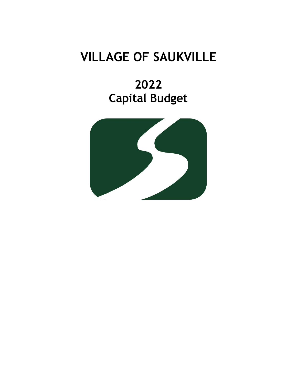# **VILLAGE OF SAUKVILLE**

**2022 Capital Budget**

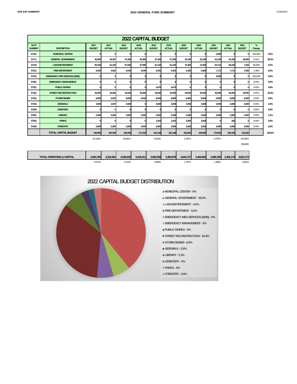|                              |                                      |                       |                       |                       |                       | <b>2022 CAPITAL BUDGET</b> |                       |                       |                       |                       |                       |                       |             |        |
|------------------------------|--------------------------------------|-----------------------|-----------------------|-----------------------|-----------------------|----------------------------|-----------------------|-----------------------|-----------------------|-----------------------|-----------------------|-----------------------|-------------|--------|
| <b>ACCT</b><br><b>NUMBER</b> | <b>DESCRIPTION</b>                   | 2017<br><b>BUDGET</b> | 2017<br><b>ACTUAL</b> | 2018<br><b>BUDGET</b> | 2018<br><b>ACTUAL</b> | 2019<br><b>BUDGET</b>      | 2019<br><b>ACTUAL</b> | 2020<br><b>BUDGET</b> | 2020<br><b>ACTUAL</b> | 2021<br><b>BUDGET</b> | 2021<br><b>ACTUAL</b> | 2022<br><b>BUDGET</b> | %<br>Change |        |
| 57161                        | <b>MUNICIPAL CENTER</b>              |                       | $\Omega$              |                       | $\Omega$              | $\theta$                   |                       | $\Omega$              |                       | 2.000                 |                       |                       | $-100.00\%$ | 0.0%   |
| 57171                        | <b>GENERAL GOVERNMENT</b>            | 46.900                | 45,357                | 47,300                | 45.490                | 47,300                     | 47,300                | 42,100                | 42,100                | 42,100                | 42,100                | 45,600                | 8.31%       | 39.2%  |
| 57210                        | <b>LAW ENFORCEMENT</b>               | 60.430                | 61.443                | 67,920                | 67.585                | 61,310                     | 61,310                | 72.360                | 72.360                | 62.731                | 59.220                | 7,220                 | $-88.49%$   | 6.2%   |
| 57221                        | <b>FIRE DEPARTMENT</b>               | 4,520                 | 4.520                 | 4.540                 | 4.540                 | 5.491                      | 5.491                 | 5.360                 | 5.360                 | 7.171                 | 7.171                 | 7.000                 | $-2.38%$    | 6.0%   |
| 57231                        | <b>EMERGENCY MED SERVICES (EMS)</b>  |                       | $\Omega$              |                       |                       | $\sqrt{2}$                 |                       | $\Omega$              |                       | 4,500                 |                       |                       | $-100.00\%$ | 0.0%   |
| 57261                        | <b>EMERGENCY MANAGEMENT</b>          |                       | n                     |                       |                       | n                          |                       | n                     |                       | £                     |                       |                       | 0.00%       | 0.0%   |
| 57321                        | <b>PUBLIC WORKS</b>                  |                       | n                     |                       | $\sqrt{2}$            | 3,675                      | 3,675                 | $\Omega$              |                       | c                     |                       |                       | 0.00%       | 0.0%   |
| 57331                        | <b>STREET RECONSTRUCTION</b>         | 35,000                | 35.000                | 44,500                | 44.500                | 44.500                     | 44.500                | 45.000                | 45.000                | 40.000                | 40.000                | 40,000                | 0.00%       | 34.4%  |
| 57341                        | <b>STORM SEWER</b>                   | 8,000                 | 6,033                 | 8,000                 | 4.918                 | 8,000                      | 8.000                 | 8.000                 | 8.000                 | 8.000                 | 8,000                 | 8,000                 | 0.00%       | 6.9%   |
| 57343                        | <b>SIDEWALK</b>                      | 3.500                 | 3.037                 | 3,500                 |                       | 3,500                      | 3.500                 | 3.500                 | 3.500                 | 3.000                 | 3.000                 | 3,000                 | 0.00%       | 2.6%   |
| 57500                        | <b>CEMETERY</b>                      |                       | n                     |                       | $\Omega$              | n                          |                       | $\Omega$              |                       | n                     |                       |                       | 0.00%       | 0.0%   |
| 57551                        | <b>LIBRARY</b>                       | 2,500                 | 5.000                 | 2,500                 | 2.500                 | 2,500                      | 2.500                 | 2.500                 | 2,500                 | 2.500                 | 2,500                 | 2,500                 | 0.00%       | 2.1%   |
| 57552                        | <b>PARKS</b>                         |                       |                       |                       |                       | 1.922                      | 1.922                 | 2.000                 | 2.000                 | c                     | 325                   |                       | 0.00%       | 0.0%   |
| 57600                        | <b>FORESTRY</b>                      | 2.000                 | 2,000                 | 2.000                 | 2.000                 | 3,000                      | 3.000                 | 3,000                 | 3,000                 | 3.000                 | 3,000                 | 3,000                 | 0.00%       | 2.6%   |
|                              | <b>TOTAL CAPITAL BUDGET</b>          | 162.850               | 162.390               | 180.260               | 171.533               | 181,198                    | 181.198               | 183.820               | 183,820               | 175.002               | 165.316               | 116,320               |             | 100.0% |
|                              |                                      | $-10.128%$            |                       | 10.691%               |                       | 0.520%                     |                       | 1.447%                |                       | $-4.797%$             |                       | $-33.532%$            |             |        |
|                              |                                      |                       |                       |                       |                       |                            |                       |                       |                       |                       |                       | (58,682)              |             |        |
|                              |                                      |                       |                       |                       |                       |                            |                       |                       |                       |                       |                       |                       |             |        |
|                              | <b>TOTAL OPERATING &amp; CAPITAL</b> | 3.453.760             | 3.322.081             | 3.526.632             | 3.316.011             | 3.582.558                  | 3.463.879             | 3.643.727             | 3,404,853             | 3.690.350             | 3,452,174             | 3,812,173             |             |        |
|                              |                                      | 0.211%                |                       | 2.110%                |                       | 1.586%                     |                       | 1.707%                |                       | 1.280%                |                       | 3.301%                |             |        |
|                              |                                      |                       |                       |                       |                       |                            |                       |                       |                       |                       |                       |                       |             |        |

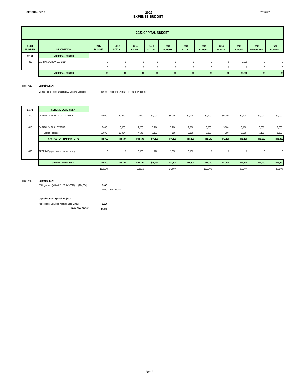#### **GENERAL FUND** 2022 **EXPENSE BUDGET**

12/26/2021

|                              | <b>2022 CAPITAL BUDGET</b> |                       |                       |                       |                       |                       |                       |                       |                       |                       |                          |                       |  |  |
|------------------------------|----------------------------|-----------------------|-----------------------|-----------------------|-----------------------|-----------------------|-----------------------|-----------------------|-----------------------|-----------------------|--------------------------|-----------------------|--|--|
| <b>ACCT</b><br><b>NUMBER</b> | <b>DESCRIPTION</b>         | 2017<br><b>BUDGET</b> | 2017<br><b>ACTUAL</b> | 2018<br><b>BUDGET</b> | 2018<br><b>ACTUAL</b> | 2019<br><b>BUDGET</b> | 2019<br><b>ACTUAL</b> | 2020<br><b>BUDGET</b> | 2020<br><b>ACTUAL</b> | 2021<br><b>BUDGET</b> | 2021<br><b>PROJECTED</b> | 2022<br><b>BUDGET</b> |  |  |
| 57161                        | <b>MUNICIPAL CENTER</b>    |                       |                       |                       |                       |                       |                       |                       |                       |                       |                          |                       |  |  |
| $-810$                       | CAPITAL OUTLAY EXPEND      | $^{\circ}$            | $\theta$              | $\mathbf{0}$          | $\Omega$              | $\Omega$              | $\Omega$              | $\mathbf{0}$          | $\mathbf 0$           | 2,000                 | $\mathbf 0$              | 0                     |  |  |
|                              |                            | 0                     | $\Omega$              | $\mathbf{0}$          | $\Omega$              | $\Omega$              | $\Omega$              | $\mathbf{0}$          | $\Omega$              | $\mathbf{0}$          | $\Omega$                 | 0                     |  |  |
|                              | <b>MUNICIPAL CENTER</b>    | \$0                   | \$0                   | \$0                   | \$0                   | \$0                   | \$0                   | \$0                   | \$0                   | \$2,000               | \$0                      | \$0                   |  |  |

#### Note: #810 **Capital Outlay:**

Village Hall & Police Station LED Lighting Upgrade 20,984 OTHER FUNDING - FUTURE PROJECT

| 57171  | <b>GENERAL GOVERNMENT</b>              |           |              |          |          |          |          |            |             |             |             |              |
|--------|----------------------------------------|-----------|--------------|----------|----------|----------|----------|------------|-------------|-------------|-------------|--------------|
| $-800$ | CAPITAL OUTLAY - CONTINGENCY           | 30,000    | 30,000       | 30,000   | 30,000   | 30,000   | 30,000   | 30,000     | 30,000      | 30,000      | 30,000      | 30,000       |
|        |                                        |           |              |          |          |          |          |            |             |             |             |              |
| $-810$ | CAPITAL OUTLAY EXPEND                  | 5,000     | 5,000        | 7,200    | 7,200    | 7,200    | 7,200    | 5,000      | 5,000       | 5,000       | 5,000       | 7,000        |
|        | -Special Projects                      | 11,900    | 10,357       | 7,100    | 7,100    | 7,100    | 7,100    | 7,100      | 7,100       | 7,100       | 7,100       | 8,600        |
|        | <b>CAPT OUTLAY EXPEND TOTAL</b>        | \$46,900  | \$45,357     | \$44,300 | \$44,300 | \$44,300 | \$44,300 | \$42,100   | \$42,100    | \$42,100    | \$42,100    | \$45,600     |
| $-830$ | RESERVE (EQUIPT REPLNT / PROJECT FUND) | $\pmb{0}$ | $\mathbf{0}$ | 3,000    | 1,190    | 3,000    | 3,000    | $\bf{0}$   | $\mathbf 0$ | $\mathbf 0$ | $\mathbf 0$ | $\mathbf{0}$ |
|        | <b>GENERAL GOVT TOTAL</b>              | \$46,900  | \$45,357     | \$47,300 | \$45,490 | \$47,300 | \$47,300 | \$42,100   | \$42,100    | \$42,100    | \$42,100    | \$45,600     |
|        |                                        | 11.933%   |              | 0.853%   |          | 0.000%   |          | $-10.994%$ |             | 0.000%      |             | 8.314%       |

#### Note: #810 **Capital Outlay:**

IT Upgrades - (VH & PD - IT SYSTEM) (\$14,000) **7,000** 

7,000 CONT FUND

#### **Capital Outlay - Special Projects:**

| Assessment Services - Maintenance (2022) | 8.600  |  |
|------------------------------------------|--------|--|
| <b>Total Capt Outlay</b>                 | 15.600 |  |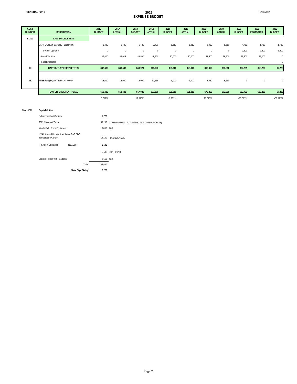12/26/2021

| <b>ACCT</b><br><b>NUMBER</b> | <b>DESCRIPTION</b>              | 2017<br><b>BUDGET</b> | 2017<br><b>ACTUAL</b> | 2018<br><b>BUDGET</b> | 2018<br><b>ACTUAL</b> | 2019<br><b>BUDGET</b> | 2019<br><b>ACTUAL</b> | 2020<br><b>BUDGET</b> | 2020<br><b>ACTUAL</b> | 2021<br><b>BUDGET</b> | 2021<br><b>PROJECTED</b> | 2022<br><b>BUDGET</b> |
|------------------------------|---------------------------------|-----------------------|-----------------------|-----------------------|-----------------------|-----------------------|-----------------------|-----------------------|-----------------------|-----------------------|--------------------------|-----------------------|
| 57210                        | <b>LAW ENFORCEMENT</b>          |                       |                       |                       |                       |                       |                       |                       |                       |                       |                          |                       |
|                              | CAPT OUTLAY EXPEND (Equipment)  | 1,430                 | 1,430                 | 1,420                 | 1,420                 | 5,310                 | 5,310                 | 5,310                 | 5,310                 | 4,731                 | 1,720                    | 1,720                 |
|                              | - IT System Upgrade             | $\mathbf 0$           | $\overline{0}$        | $\mathbf{0}$          | $\mathbf{0}$          | $\mathbf 0$           | $\mathbf{0}$          | $\mathbf 0$           | $^{\circ}$            | 2,500                 | 2,500                    | 5,500                 |
|                              | - Patrol Vehicles               | 46,000                | 47,013                | 48,500                | 48,500                | 50,000                | 50,000                | 58,500                | 58,500                | 55,500                | 55,000                   | $\mathcal{C}$         |
|                              | - Facility Updates              |                       |                       |                       |                       |                       |                       |                       |                       |                       |                          | $\mathcal{C}$         |
| $-810$                       | <b>CAPT OUTLAY EXPEND TOTAL</b> | \$47,430              | \$48,443              | \$49,920              | \$49,920              | \$55,310              | \$55,310              | \$63,810              | \$63,810              | \$62,731              | \$59,220                 | \$7,220               |
| $-830$                       | RESERVE (EQUIPT REPLNT FUND)    | 13,000                | 13,000                | 18,000                | 17,665                | 6,000                 | 6,000                 | 8,550                 | 8,550                 | $\bf 0$               | $\bf{0}$                 | C                     |
|                              | <b>LAW ENFORCEMENT TOTAL</b>    | \$60,430              | \$61,443              | \$67,920              | \$67,585              | \$61,310              | \$61,310              | \$72,360              | \$72,360              | \$62,731              | \$59,220                 | \$7,220               |
|                              |                                 | 5.647%                |                       | 12.395%               |                       | $-9.732%$             |                       | 18.023%               |                       | $-13.307%$            |                          | $-88.491%$            |

#### Note: #810 **Capital Outlay:** Ballistic Vests & Carriers **1,720**  2022 Chevrolet Tahoe Mobile Field Force Equipment HVAC Control Update -Inet Seven BAS DDC Temperature Control 19,100 IT System Upgrades (\$11,000) **5,500**  5,500 CONT FUND Ballistic Helmet with Headsets *Total* 106,680 *Total Capt Outlay* **7,220**  2,660 ERP 56,200 OTHER FUNDING - FUTURE PROJECT (2023 PURCHASE) 16,000 ERP 19,100 FUND BALANCE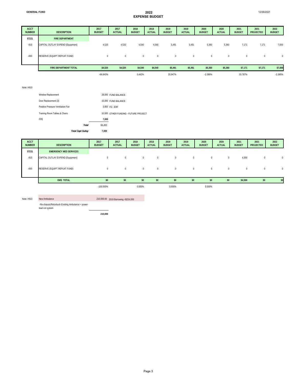| <b>ACCT</b><br><b>NUMBER</b> | <b>DESCRIPTION</b>                | 2017<br><b>BUDGET</b> | 2017<br><b>ACTUAL</b> | 2018<br><b>BUDGET</b> | 2018<br><b>ACTUAL</b> | 2019<br><b>BUDGET</b> | 2019<br><b>ACTUAL</b> | 2020<br><b>BUDGET</b> | 2020<br><b>ACTUAL</b> | 2021<br><b>BUDGET</b> | 2021<br><b>PROJECTED</b> | 2022<br><b>BUDGET</b> |
|------------------------------|-----------------------------------|-----------------------|-----------------------|-----------------------|-----------------------|-----------------------|-----------------------|-----------------------|-----------------------|-----------------------|--------------------------|-----------------------|
| 57221                        | <b>FIRE DEPARTMENT</b>            |                       |                       |                       |                       |                       |                       |                       |                       |                       |                          |                       |
| $-810$                       | CAPITAL OUTLAY EXPEND (Equipment) | 4,520                 | 4,520                 | 4,540                 | 4,540                 | 5,491                 | 5,491                 | 5,360                 | 5,360                 | 7,171                 | 7,171                    | 7,000                 |
| $-830$                       | RESERVE (EQUIPT REPLNT FUND)      | $\mathbf{0}$          | $\mathbf{0}$          | $\overline{0}$        | $\mathbf{0}$          | $\mathbf 0$           | $\mathbf{0}$          | $\bf{0}$              | $\mathbf{0}$          | $\overline{0}$        | $\mathbf{0}$             | $\mathbf 0$           |
|                              | <b>FIRE DEPARTMENT TOTAL</b>      | \$4,520               | \$4,520               | \$4,540               | \$4,540               | \$5,491               | \$5,491               | \$5,360               | \$5,360               | \$7,171               | \$7,171                  | \$7,000               |
|                              |                                   | $-66.843%$            |                       | 0.442%                |                       | 20.947%               |                       | $-2.386%$             |                       | 33.787%               |                          | $-2.385%$             |

#### Note: #810

| <b>Total Capt Outlay</b>          |              | 7.000  |                                       |
|-----------------------------------|--------------|--------|---------------------------------------|
|                                   | <b>Total</b> | 64.450 |                                       |
| PPF                               |              | 7.000  |                                       |
| Training Room Tables & Chairs     |              |        | 10,500 OTHER FUNDING - FUTURE PROJECT |
| Positive Pressure Ventilation Fan |              |        | 3,950 FD-FRF                          |
| Door Replacement (3)              |              |        | 15,000 FUND BALANCE                   |
| Window Replacement                |              |        | 28,000 FUND BALANCE                   |
|                                   |              |        |                                       |

| <b>ACCT</b><br><b>NUMBER</b> | <b>DESCRIPTION</b>                | 2017<br><b>BUDGET</b> | 2017<br><b>ACTUAL</b> | 2018<br><b>BUDGET</b> | 2018<br><b>ACTUAL</b> | 2019<br><b>BUDGET</b> | 2019<br><b>ACTUAL</b> | 2020<br><b>BUDGET</b> | 2020<br><b>ACTUAL</b> | 2021<br><b>BUDGET</b> | 2021<br><b>PROJECTED</b> | 2022<br><b>BUDGET</b> |
|------------------------------|-----------------------------------|-----------------------|-----------------------|-----------------------|-----------------------|-----------------------|-----------------------|-----------------------|-----------------------|-----------------------|--------------------------|-----------------------|
| 57231                        | <b>EMERGENCY MED SERVICES</b>     |                       |                       |                       |                       |                       |                       |                       |                       |                       |                          |                       |
| $-810$                       | CAPITAL OUTLAY EXPEND (Equipment) | $^{\circ}$            | $\Omega$              | $\mathbf{0}$          | $\Omega$              |                       | $\Omega$              | $\mathbf{0}$          | $^{\circ}$            | 4,500                 | $^{\circ}$               | $\Omega$              |
| $-830$                       | RESERVE (EQUIPT REPLNT FUND)      | $^{\circ}$            | $\mathbf{0}$          | $\mathbf 0$           | $\Omega$              | $\mathbf{0}$          | $^{\circ}$            | $\mathbf 0$           | $^{\circ}$            | $\mathbf{0}$          | $^{\circ}$               | $\Omega$              |
|                              | <b>EMS TOTAL</b>                  | \$0                   | \$0                   | \$0                   | \$0                   | \$0                   | \$0                   | \$0                   | \$0                   | \$4,500               | \$0                      | \$0                   |
|                              |                                   | $-100.000\%$          |                       | 0.000%                |                       | 0.000%                |                       | 0.000%                |                       |                       |                          |                       |

Note: #810 New Ambulance 210,000.00 2019 Borrowing =\$224,000

-Re-chassis/Refurbush Existing Ambulance + power-

load cot system

**210,000**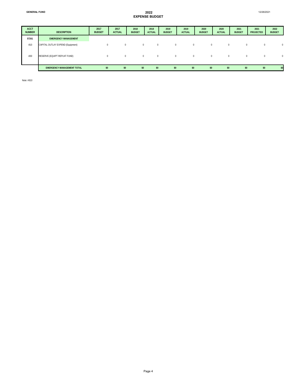| <b>ACCT</b><br><b>NUMBER</b> | <b>DESCRIPTION</b>                | 2017<br><b>BUDGET</b> | 2017<br><b>ACTUAL</b> | 2018<br><b>BUDGET</b> | 2018<br><b>ACTUAL</b> | 2019<br><b>BUDGET</b> | 2019<br><b>ACTUAL</b> | 2020<br><b>BUDGET</b> | 2020<br><b>ACTUAL</b> | 2021<br><b>BUDGET</b> | 2021<br><b>PROJECTED</b> | 2022<br><b>BUDGET</b> |
|------------------------------|-----------------------------------|-----------------------|-----------------------|-----------------------|-----------------------|-----------------------|-----------------------|-----------------------|-----------------------|-----------------------|--------------------------|-----------------------|
| 57261                        | <b>EMERGENCY MANAGEMENT</b>       |                       |                       |                       |                       |                       |                       |                       |                       |                       |                          |                       |
| $-810$                       | CAPITAL OUTLAY EXPEND (Equipment) | 0                     | $\Omega$              | $\mathbf 0$           | $\mathbf{0}$          | $\Omega$              |                       | 0                     |                       | $\mathbf{0}$          | 0                        | $\Omega$              |
| $-830$                       | RESERVE (EQUIPT REPLNT FUND)      | $\Omega$              | $\Omega$              | $\mathbf 0$           | $\mathbf{0}$          | 0                     |                       | 0                     |                       | $\mathbf{0}$          | 0                        | $\mathbf{0}$          |
|                              | <b>EMERGENCY MANAGEMENT TOTAL</b> | \$0                   | \$0                   | \$0                   | \$0                   | \$0                   | \$0                   | \$0                   | \$0                   | \$0                   | \$0                      | \$0                   |

Note: #810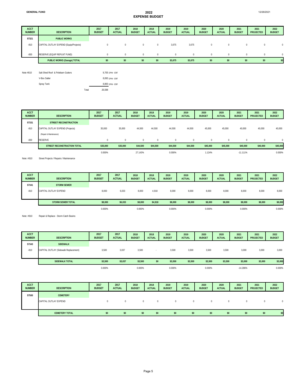| <b>ACCT</b><br><b>NUMBER</b> | <b>DESCRIPTION</b>                     | 2017<br><b>BUDGET</b> | 2017<br><b>ACTUAL</b> | 2018<br><b>BUDGET</b> | 2018<br><b>ACTUAL</b> | 2019<br><b>BUDGET</b> | 2019<br><b>ACTUAL</b> | 2020<br><b>BUDGET</b> | 2020<br><b>ACTUAL</b> | 2021<br><b>BUDGET</b> | 2021<br><b>PROJECTED</b> | 2022<br><b>BUDGET</b> |
|------------------------------|----------------------------------------|-----------------------|-----------------------|-----------------------|-----------------------|-----------------------|-----------------------|-----------------------|-----------------------|-----------------------|--------------------------|-----------------------|
| 57321                        | <b>PUBLIC WORKS</b>                    |                       |                       |                       |                       |                       |                       |                       |                       |                       |                          |                       |
| $-810$                       | CAPITAL OUTLAY EXPEND (Equip/Projects) |                       | $^{\circ}$            | $^{\circ}$            | $\mathbf{0}$          | 3,675                 | 3,675                 | 0                     | $^{\circ}$            | $\mathbf{0}$          | $\Omega$                 | $^{\circ}$            |
| $-830$                       | RESERVE (EQUIP REPLNT FUND)            |                       | $\Omega$              | $\Omega$              | $\Omega$              | $\Omega$              | $\Omega$              | $\Omega$              | $\Omega$              | $\Omega$              | $\Omega$                 | $^{\circ}$            |
|                              | PUBLIC WORKS (Garage) TOTAL            | \$0                   | \$0                   | \$0                   | \$0                   | \$3,675               | \$3,675               | \$0                   | \$0                   | \$0                   | \$0                      | \$0                   |

| Note #810 | Salt Shed Roof & Polebarn Gutters |       | 9,705 DPW - ERF |
|-----------|-----------------------------------|-------|-----------------|
|           | V-Box Salter                      |       | 8,093 DPW - ERF |
|           | Spray Tank                        |       | 8,800 DPW - ERF |
|           |                                   | Total | 26.598          |

| <b>ACCT</b><br><b>NUMBER</b> | <b>DESCRIPTION</b>               | 2017<br><b>BUDGET</b> | 2017<br><b>ACTUAL</b> | 2018<br><b>BUDGET</b> | 2018<br><b>ACTUAL</b> | 2019<br><b>BUDGET</b> | 2019<br><b>ACTUAL</b> | 2020<br><b>BUDGET</b> | 2020<br><b>ACTUAL</b> | 2021<br><b>BUDGET</b> | 2021<br><b>PROJECTED</b> | 2022<br><b>BUDGET</b> |
|------------------------------|----------------------------------|-----------------------|-----------------------|-----------------------|-----------------------|-----------------------|-----------------------|-----------------------|-----------------------|-----------------------|--------------------------|-----------------------|
| 57331                        | <b>STREET RECONSTRUCTION</b>     |                       |                       |                       |                       |                       |                       |                       |                       |                       |                          |                       |
| $-810$                       | CAPITAL OUTLAY EXPEND (Projects) | 35,000                | 35,000                | 44,500                | 44,500                | 44,500                | 44,500                | 45,000                | 45,000                | 40,000                | 40,000                   | 40,000                |
|                              | (Repair & Maintenance)           |                       |                       |                       |                       |                       |                       |                       |                       |                       |                          |                       |
| $-830$                       | <b>RESERVE</b>                   |                       | $\Omega$              | $^{\circ}$            | $\Omega$              | $\Omega$              | $\Omega$              | $\Omega$              | $\Omega$              | $\Omega$              | $\mathbf 0$              | $^{\circ}$            |
|                              | STREET RECONSTRUCTION TOTAL      | \$35,000              | \$35,000              | \$44,500              | \$44,500              | \$44,500              | \$44,500              | \$45,000              | \$45,000              | \$40,000              | \$40,000                 | \$40,000              |
|                              |                                  | 0.000%                |                       | 27.143%               |                       | 0.000%                |                       | 1.124%                |                       | $-11.111\%$           |                          | 0.000%                |

Note: #810 Street Projects / Repairs / Maintenance

| <b>ACCT</b><br><b>NUMBER</b> | <b>DESCRIPTION</b>       | 2017<br><b>BUDGET</b> | 2017<br><b>ACTUAL</b> | 2018<br><b>BUDGET</b> | 2018<br><b>ACTUAL</b> | 2019<br><b>BUDGET</b> | 2019<br><b>ACTUAL</b> | 2020<br><b>BUDGET</b> | 2020<br><b>ACTUAL</b> | 2021<br><b>BUDGET</b> | 2021<br><b>PROJECTED</b> | 2022<br><b>BUDGET</b> |
|------------------------------|--------------------------|-----------------------|-----------------------|-----------------------|-----------------------|-----------------------|-----------------------|-----------------------|-----------------------|-----------------------|--------------------------|-----------------------|
| 57341                        | <b>STORM SEWER</b>       |                       |                       |                       |                       |                       |                       |                       |                       |                       |                          |                       |
| $-810$                       | CAPITAL OUTLAY EXPEND    | 8,000                 | 6,033                 | 8,000                 | 4,918                 | 8,000                 | 8,000                 | 8,000                 | 8,000                 | 8,000                 | 8,000                    | 8,000                 |
|                              | <b>STORM SEWER TOTAL</b> | \$8,000               | \$6,033               | \$8,000               | \$4,918               | \$8,000               | \$8,000               | \$8,000               | \$8,000               | \$8,000               | \$8,000                  | \$8,000               |
|                              |                          | 0.000%                |                       | 0.000%                |                       | 0.000%                |                       | 0.000%                |                       | 0.000%                |                          | 0.000%                |

Note: #810 Repair & Replace - Storm Catch Basins

| <b>ACCT</b><br><b>NUMBER</b> | <b>DESCRIPTION</b>                    | 2017<br><b>BUDGET</b> | 2017<br><b>ACTUAL</b> | 2018<br><b>BUDGET</b> | 2018<br><b>ACTUAL</b> | 2019<br><b>BUDGET</b> | 2019<br><b>ACTUAL</b> | 2020<br><b>BUDGET</b> | 2020<br><b>ACTUAL</b> | 2021<br><b>BUDGET</b> | 2021<br>PROJECTED | 2022<br><b>BUDGET</b> |
|------------------------------|---------------------------------------|-----------------------|-----------------------|-----------------------|-----------------------|-----------------------|-----------------------|-----------------------|-----------------------|-----------------------|-------------------|-----------------------|
| 57343                        | <b>SIDEWALK</b>                       |                       |                       |                       |                       |                       |                       |                       |                       |                       |                   |                       |
| $-810$                       | CAPITAL OUTLAY (Sidewalk Replacement) | 3,500                 | 3,037                 | 3,500                 | . .                   | 3.500                 | 3,500                 | 3,500                 | 3,500                 | 3,000                 | 3,000             | 3,000                 |
|                              | <b>SIDEWALK TOTAL</b>                 | \$3,500               | \$3,037               | \$3,500               | \$0                   | \$3,500               | \$3,500               | \$3,500               | \$3,500               | \$3,000               | \$3,000           | \$3,000               |
|                              |                                       | 0.000%                |                       | 0.000%                |                       | 0.000%                |                       | 0.000%                |                       | $-14.286%$            |                   | 0.000%                |

| <b>ACCT</b><br><b>NUMBER</b> | <b>DESCRIPTION</b>    | 2017<br><b>BUDGET</b> | 2017<br><b>ACTUAL</b> | 2018<br><b>BUDGET</b> | 2018<br><b>ACTUAL</b> | 2019<br><b>BUDGET</b> | 2019<br><b>ACTUAL</b> | 2020<br><b>BUDGET</b> | 2020<br><b>ACTUAL</b> | 2021<br><b>BUDGET</b> | 2021<br><b>PROJECTED</b> | 2022<br><b>BUDGET</b> |
|------------------------------|-----------------------|-----------------------|-----------------------|-----------------------|-----------------------|-----------------------|-----------------------|-----------------------|-----------------------|-----------------------|--------------------------|-----------------------|
| 57500                        | <b>CEMETERY</b>       |                       |                       |                       |                       |                       |                       |                       |                       |                       |                          |                       |
|                              | CAPITAL OUTLAY EXPEND |                       |                       | $^{\circ}$            |                       |                       | $^{\circ}$            | $\Omega$              | $^{\circ}$            | 0                     |                          | $\Omega$              |
|                              | <b>CEMETERY TOTAL</b> | \$0                   | \$0                   | \$0                   | \$0                   | \$0                   | \$0                   | \$0                   | \$0                   | \$0                   | \$0                      | \$0                   |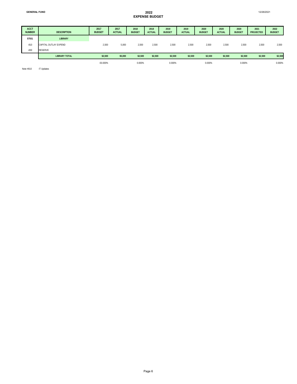| <b>ACCT</b><br><b>NUMBER</b> | <b>DESCRIPTION</b>    | 2017<br><b>BUDGET</b> | 2017<br><b>ACTUAL</b> | 2018<br><b>BUDGET</b> | 2018<br><b>ACTUAL</b> | 2019<br><b>BUDGET</b> | 2019<br><b>ACTUAL</b> | 2020<br><b>BUDGET</b> | 2020<br><b>ACTUAL</b> | 2020<br><b>BUDGET</b> | 2021<br><b>PROJECTED</b> | 2022<br><b>BUDGET</b> |
|------------------------------|-----------------------|-----------------------|-----------------------|-----------------------|-----------------------|-----------------------|-----------------------|-----------------------|-----------------------|-----------------------|--------------------------|-----------------------|
| 57551                        | <b>LIBRARY</b>        |                       |                       |                       |                       |                       |                       |                       |                       |                       |                          |                       |
| $-810$                       | CAPITAL OUTLAY EXPEND | 2,500                 | 5,000                 | 2,500                 | 2,500                 | 2,500                 | 2,500                 | 2,500                 | 2,500                 | 2,500                 | 2,500                    | 2,500                 |
| $-830$                       | <b>RESERVE</b>        |                       |                       |                       |                       |                       |                       |                       |                       |                       |                          |                       |
|                              | <b>LIBRARY TOTAL</b>  | \$2,500               | \$5,000               | \$2,500               | \$2,500               | \$2,500               | \$2,500               | \$2,500               | \$2,500               | \$2,500               | \$2,500                  | \$2,500               |
|                              |                       | $-50.000\%$           |                       | 0.000%                |                       | 0.000%                |                       | 0.000%                |                       | 0.000%                |                          | 0.000%                |

Note #810 IT Updates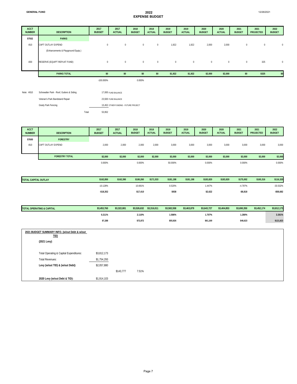Veteran's Park Bandstand Repair Grady Park Fencing

| <b>ACCT</b><br><b>NUMBER</b> | <b>DESCRIPTION</b>                       | 2017<br><b>BUDGET</b> | 2017<br><b>ACTUAL</b> | 2018<br><b>BUDGET</b> | 2018<br><b>ACTUAL</b> | 2019<br><b>BUDGET</b> | 2019<br><b>ACTUAL</b> | 2020<br><b>BUDGET</b> | 2020<br><b>ACTUAL</b> | 2021<br><b>BUDGET</b> | 2021<br><b>PROJECTED</b> | 2022<br><b>BUDGET</b> |
|------------------------------|------------------------------------------|-----------------------|-----------------------|-----------------------|-----------------------|-----------------------|-----------------------|-----------------------|-----------------------|-----------------------|--------------------------|-----------------------|
| 57552                        | <b>PARKS</b>                             |                       |                       |                       |                       |                       |                       |                       |                       |                       |                          |                       |
| $-810$                       | CAPT OUTLAY EXPEND                       | $\bf{0}$              | $\mathbf 0$           | $\mathbf 0$           | $\mathbf 0$           | 1,922                 | 1,922                 | 2,000                 | 2,000                 | 0                     | $\pmb{0}$                | $\overline{0}$        |
|                              | (Enhancements & Playground Equip.)       |                       |                       |                       |                       |                       |                       |                       |                       |                       |                          |                       |
| $-830$                       | RESERVE (EQUIPT REPLNT FUND)             | $\mathbf 0$           | $\bf{0}$              | $\mathbf{0}$          | $\mathbf 0$           | $\overline{0}$        | $\mathbf{0}$          | $\bf{0}$              | $\mathbf{0}$          | $\mathbf 0$           | 325                      | $\overline{0}$        |
|                              | <b>PARKS TOTAL</b>                       | \$0                   | \$0                   | \$0                   | \$0                   | \$1,922               | \$1,922               | \$2,000               | \$2,000               | \$0                   | \$325                    | \$0                   |
|                              |                                          | $-100.000\%$          |                       | 0.000%                |                       |                       |                       |                       |                       |                       |                          |                       |
| Note: #810                   | Schowalter Park - Roof, Gutters & Siding |                       | 17,000 FUND BALANCE   |                       |                       |                       |                       |                       |                       |                       |                          |                       |

13,452 OTHER FUNDING - FUTURE PROJECT

Total 53,952

 $23,500$  FUND BALANCE

| <b>ACCT</b><br><b>NUMBER</b> | <b>DESCRIPTION</b>    | 2017<br><b>BUDGET</b> | 2017<br><b>ACTUAL</b> | 2018<br><b>BUDGET</b> | 2018<br><b>ACTUAL</b> | 2019<br><b>BUDGET</b> | 2019<br><b>ACTUAL</b> | 2020<br><b>BUDGET</b> | 2020<br><b>ACTUAL</b> | 2021<br><b>BUDGET</b> | 2021<br><b>PROJECTED</b> | 2022<br><b>BUDGET</b> |
|------------------------------|-----------------------|-----------------------|-----------------------|-----------------------|-----------------------|-----------------------|-----------------------|-----------------------|-----------------------|-----------------------|--------------------------|-----------------------|
| 57600                        | <b>FORESTRY</b>       |                       |                       |                       |                       |                       |                       |                       |                       |                       |                          |                       |
| $-810$                       | CAPT OUTLAY EXPEND    | 2,000                 | 2,000                 | 2,000                 | 2,000                 | 3,000                 | 3,000                 | 3,000                 | 3,000                 | 3,000                 | 3,000                    | 3,000                 |
|                              |                       |                       |                       |                       |                       |                       |                       |                       |                       |                       |                          |                       |
|                              | <b>FORESTRY TOTAL</b> | \$2,000               | \$2,000               | \$2,000               | \$2,000               | \$3,000               | \$3,000               | \$3,000               | \$3,000               | \$3,000               | \$3,000                  | \$3,000               |
|                              |                       | 0.000%                |                       | 0.000%                |                       | 50.000%               |                       | 0.000%                |                       | 0.000%                |                          | 0.000%                |

| <b>TOTAL CAPITAL OUTLAY</b> | \$162,850  | \$162.390 | \$180,260 | \$171,533 | \$181.198 | \$181.198 | \$183,820 | \$183.820 | \$175,002  | \$165,316 | \$116,320  |
|-----------------------------|------------|-----------|-----------|-----------|-----------|-----------|-----------|-----------|------------|-----------|------------|
|                             | $-10.128%$ |           | 10.691%   |           | 0.520%    |           | i.447%    |           | 4.797%     |           | 33.532%    |
|                             | $-$18,352$ |           | \$17.410  |           | \$938     |           | \$2,622   |           | $- $8,818$ |           | $-$58,682$ |

| <b>TOTAL OPERATING &amp; CAPITAL</b>                  | \$3,453,760 | \$3,322,081 | \$3,526,632 | \$3,316,011 | \$3,582,558 | \$3,463,879 | \$3,643,727 | \$3,404,853 | \$3,690,350 | \$3,452,174 | \$3,812,173 |
|-------------------------------------------------------|-------------|-------------|-------------|-------------|-------------|-------------|-------------|-------------|-------------|-------------|-------------|
|                                                       | 0.211%      |             | 2.110%      |             | 1.586%      |             | 1.707%      |             | 1.280%      |             | 3.301%      |
|                                                       | \$7,288     |             | \$72,872    |             | \$55,926    |             | \$61,169    |             | \$46,623    |             | \$121,823   |
|                                                       |             |             |             |             |             |             |             |             |             |             |             |
| 2021 BUDGET SUMMARY INFO. (w/out Debt & w/out<br>TID) |             |             |             |             |             |             |             |             |             |             |             |
| (2021 Levy)                                           |             |             |             |             |             |             |             |             |             |             |             |
| Total Operating & Capital Expenditures:               | \$3,812,173 |             |             |             |             |             |             |             |             |             |             |
| <b>Total Revenues:</b>                                | \$1,754,293 |             |             |             |             |             |             |             |             |             |             |

|                               |             | \$143.777 | 7.51% |
|-------------------------------|-------------|-----------|-------|
| 2020 Levy (w/out Debt & TID): | \$1,914.103 |           |       |

**Levy (w/out TID) & (w/out Debt):** \$2,057,880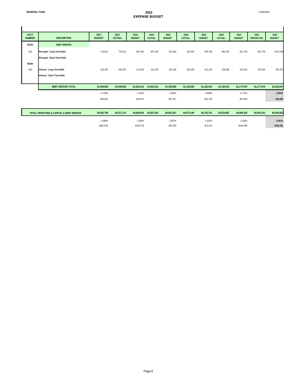12/26/2021

### **EXPENSE BUDGET**

| <b>ACCT</b><br><b>NUMBER</b> | <b>DESCRIPTION</b>                                        | 2017<br><b>BUDGET</b> | 2017<br><b>ACTUAL</b> | 2018<br><b>BUDGET</b> | 2018<br><b>ACTUAL</b>   | 2019<br><b>BUDGET</b> | 2019<br><b>ACTUAL</b> | 2020<br><b>BUDGET</b> | 2020<br><b>ACTUAL</b> | 2021<br><b>BUDGET</b> | 2021<br><b>PROJECTED</b> | 2022<br><b>BUDGET</b> |
|------------------------------|-----------------------------------------------------------|-----------------------|-----------------------|-----------------------|-------------------------|-----------------------|-----------------------|-----------------------|-----------------------|-----------------------|--------------------------|-----------------------|
| 58100                        | <b>DEBT SERVICE</b>                                       |                       |                       |                       |                         |                       |                       |                       |                       |                       |                          |                       |
| $-610$                       | Principal - Long Term Debt<br>Principal - Short Term Debt | 716,541               | 716,541               | 867,492               | 867,492                 | 915,930               | 915,930               | 878,780               | 881,632               | 957,476               | 957,476                  | 1,024,240             |
| 58200                        |                                                           |                       |                       |                       |                         |                       |                       |                       |                       |                       |                          |                       |
| $-620$                       | Interest - Long Term Debt<br>Interest - Short Term Debt   | 332,497               | 332,497               | 214,420               | 214,420                 | 193,339               | 193,339               | 241,234               | 248,382               | 220,503               | 220,503                  | 200,407               |
|                              |                                                           |                       |                       |                       |                         |                       |                       |                       |                       |                       |                          |                       |
|                              | <b>DEBT SERVICE TOTAL</b>                                 | \$1,049,038           | \$1,049,038           |                       | \$1,081,912 \$1,081,912 | \$1,109,269           | \$1,109,269           | \$1,120,014           | \$1,130,014           | \$1,177,979           | \$1,177,979              | \$1,224,647           |
|                              |                                                           | $-5.139%$             |                       | 3.134%                |                         | 2.529%                |                       | 0.969%                |                       | 5.175%                |                          | 3.962%                |
|                              |                                                           | $-$56,831$            |                       | \$32,874              |                         | \$27,357              |                       | \$10,745              |                       | \$57,965              |                          | \$46,668              |
|                              |                                                           |                       |                       |                       |                         |                       |                       |                       |                       |                       |                          |                       |

| TOTAL OPERATING & CAPITAL & DEBT SERVICE | \$4,502,798   | \$4,371,119 | \$4,608,544 | \$4,397,923 | \$4,691,827 | \$4,573,148 | \$4,763,741 | \$4.534.867 | \$4,868,329 | \$4,630,153 | \$5,036,820 |
|------------------------------------------|---------------|-------------|-------------|-------------|-------------|-------------|-------------|-------------|-------------|-------------|-------------|
|                                          | $-1.088%$     |             | .348%       |             | .807%       |             | 1.533%      |             | 2.195%      |             | 3.461%      |
|                                          | $($ \$49,543) |             | \$105.746   |             | \$83,283    |             | \$71.914    |             | \$104,588   |             | \$168.491   |